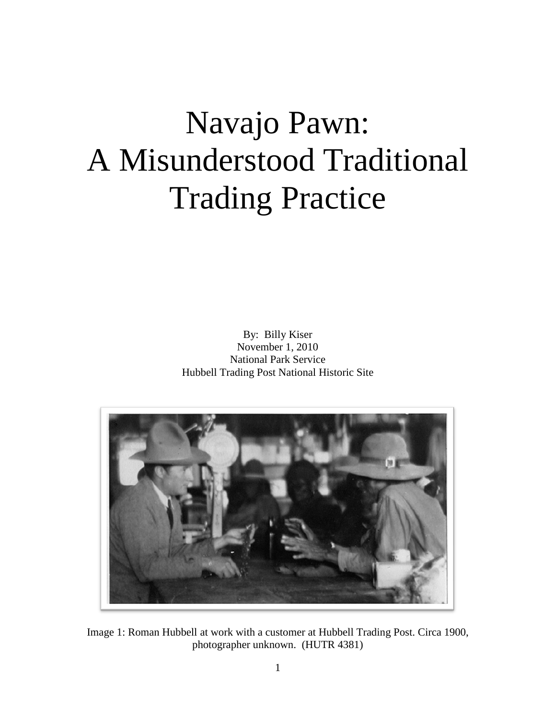# Navajo Pawn: A Misunderstood Traditional Trading Practice

By: Billy Kiser November 1, 2010 National Park Service Hubbell Trading Post National Historic Site



Image 1: Roman Hubbell at work with a customer at Hubbell Trading Post. Circa 1900, photographer unknown. (HUTR 4381)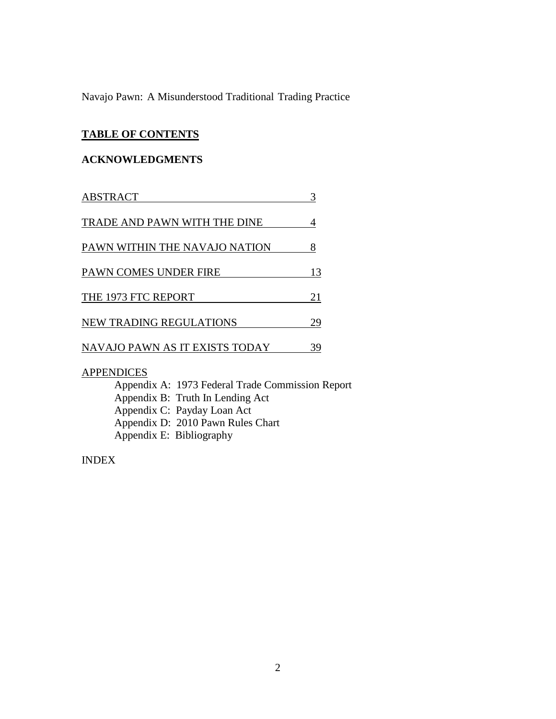Navajo Pawn: A Misunderstood Traditional Trading Practice

# **TABLE OF CONTENTS**

# **ACKNOWLEDGMENTS**

| 4  |
|----|
| 8  |
| 13 |
| 21 |
| 29 |
| 39 |
|    |

# **APPENDICES**

| Appendix A: 1973 Federal Trade Commission Report |
|--------------------------------------------------|
| Appendix B: Truth In Lending Act                 |
| Appendix C: Payday Loan Act                      |
| Appendix D: 2010 Pawn Rules Chart                |
| Appendix E: Bibliography                         |
|                                                  |

# INDEX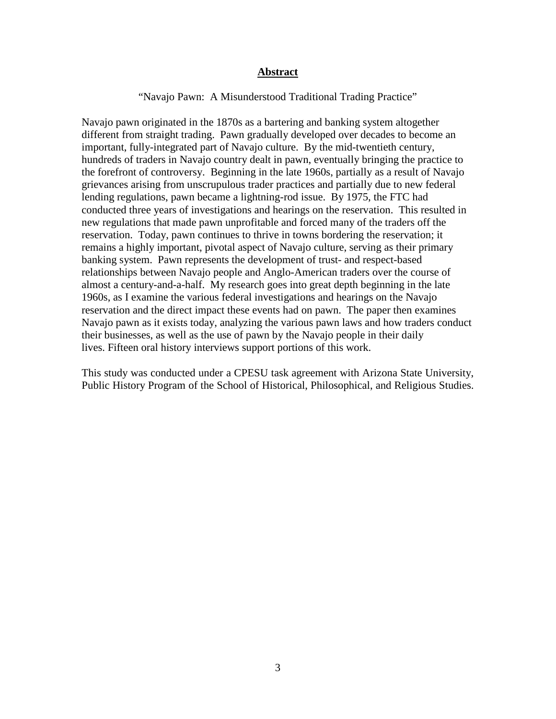## **Abstract**

## "Navajo Pawn: A Misunderstood Traditional Trading Practice"

Navajo pawn originated in the 1870s as a bartering and banking system altogether different from straight trading. Pawn gradually developed over decades to become an important, fully-integrated part of Navajo culture. By the mid-twentieth century, hundreds of traders in Navajo country dealt in pawn, eventually bringing the practice to the forefront of controversy. Beginning in the late 1960s, partially as a result of Navajo grievances arising from unscrupulous trader practices and partially due to new federal lending regulations, pawn became a lightning-rod issue. By 1975, the FTC had conducted three years of investigations and hearings on the reservation. This resulted in new regulations that made pawn unprofitable and forced many of the traders off the reservation. Today, pawn continues to thrive in towns bordering the reservation; it remains a highly important, pivotal aspect of Navajo culture, serving as their primary banking system. Pawn represents the development of trust- and respect-based relationships between Navajo people and Anglo-American traders over the course of almost a century-and-a-half. My research goes into great depth beginning in the late 1960s, as I examine the various federal investigations and hearings on the Navajo reservation and the direct impact these events had on pawn. The paper then examines Navajo pawn as it exists today, analyzing the various pawn laws and how traders conduct their businesses, as well as the use of pawn by the Navajo people in their daily lives. Fifteen oral history interviews support portions of this work.

This study was conducted under a CPESU task agreement with Arizona State University, Public History Program of the School of Historical, Philosophical, and Religious Studies.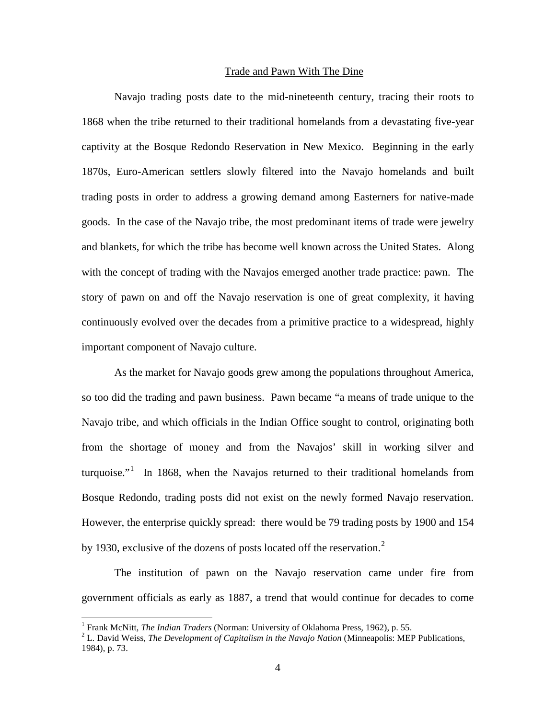#### Trade and Pawn With The Dine

Navajo trading posts date to the mid-nineteenth century, tracing their roots to 1868 when the tribe returned to their traditional homelands from a devastating five-year captivity at the Bosque Redondo Reservation in New Mexico. Beginning in the early 1870s, Euro-American settlers slowly filtered into the Navajo homelands and built trading posts in order to address a growing demand among Easterners for native-made goods. In the case of the Navajo tribe, the most predominant items of trade were jewelry and blankets, for which the tribe has become well known across the United States. Along with the concept of trading with the Navajos emerged another trade practice: pawn. The story of pawn on and off the Navajo reservation is one of great complexity, it having continuously evolved over the decades from a primitive practice to a widespread, highly important component of Navajo culture.

As the market for Navajo goods grew among the populations throughout America, so too did the trading and pawn business. Pawn became "a means of trade unique to the Navajo tribe, and which officials in the Indian Office sought to control, originating both from the shortage of money and from the Navajos' skill in working silver and turquoise."<sup>[1](#page-3-0)</sup> In 1868, when the Navajos returned to their traditional homelands from Bosque Redondo, trading posts did not exist on the newly formed Navajo reservation. However, the enterprise quickly spread: there would be 79 trading posts by 1900 and 154 by 1930, exclusive of the dozens of posts located off the reservation.<sup>[2](#page-3-1)</sup>

The institution of pawn on the Navajo reservation came under fire from government officials as early as 1887, a trend that would continue for decades to come

<span id="page-3-1"></span><span id="page-3-0"></span><sup>&</sup>lt;sup>1</sup> Frank McNitt, *The Indian Traders* (Norman: University of Oklahoma Press, 1962), p. 55.<br><sup>2</sup> L. David Weiss, *The Development of Capitalism in the Navajo Nation* (Minneapolis: MEP Publications, 1984), p. 73.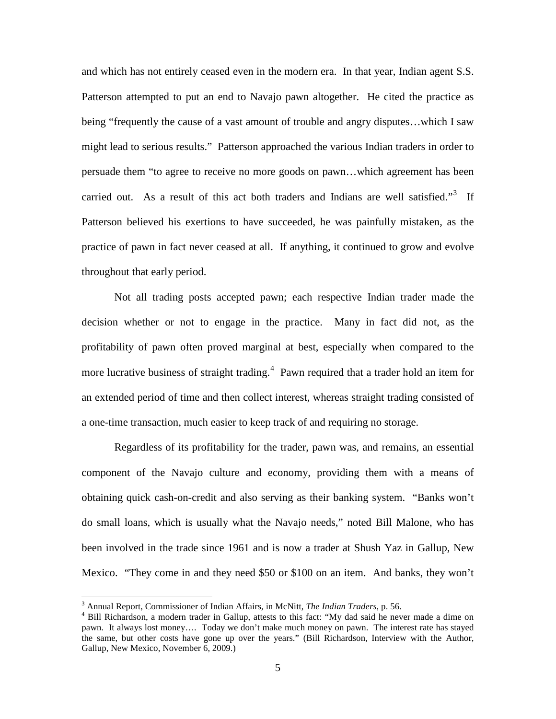and which has not entirely ceased even in the modern era. In that year, Indian agent S.S. Patterson attempted to put an end to Navajo pawn altogether. He cited the practice as being "frequently the cause of a vast amount of trouble and angry disputes…which I saw might lead to serious results." Patterson approached the various Indian traders in order to persuade them "to agree to receive no more goods on pawn…which agreement has been carried out. As a result of this act both traders and Indians are well satisfied."<sup>[3](#page-4-0)</sup> If Patterson believed his exertions to have succeeded, he was painfully mistaken, as the practice of pawn in fact never ceased at all. If anything, it continued to grow and evolve throughout that early period.

Not all trading posts accepted pawn; each respective Indian trader made the decision whether or not to engage in the practice. Many in fact did not, as the profitability of pawn often proved marginal at best, especially when compared to the more lucrative business of straight trading.<sup>[4](#page-4-1)</sup> Pawn required that a trader hold an item for an extended period of time and then collect interest, whereas straight trading consisted of a one-time transaction, much easier to keep track of and requiring no storage.

Regardless of its profitability for the trader, pawn was, and remains, an essential component of the Navajo culture and economy, providing them with a means of obtaining quick cash-on-credit and also serving as their banking system. "Banks won't do small loans, which is usually what the Navajo needs," noted Bill Malone, who has been involved in the trade since 1961 and is now a trader at Shush Yaz in Gallup, New Mexico. "They come in and they need \$50 or \$100 on an item. And banks, they won't

<span id="page-4-1"></span><span id="page-4-0"></span><sup>&</sup>lt;sup>3</sup> Annual Report, Commissioner of Indian Affairs, in McNitt, *The Indian Traders*, p. 56.<br><sup>4</sup> Bill Richardson, a modern trader in Gallup, attests to this fact: "My dad said he never made a dime on pawn. It always lost money…. Today we don't make much money on pawn. The interest rate has stayed the same, but other costs have gone up over the years." (Bill Richardson, Interview with the Author, Gallup, New Mexico, November 6, 2009.)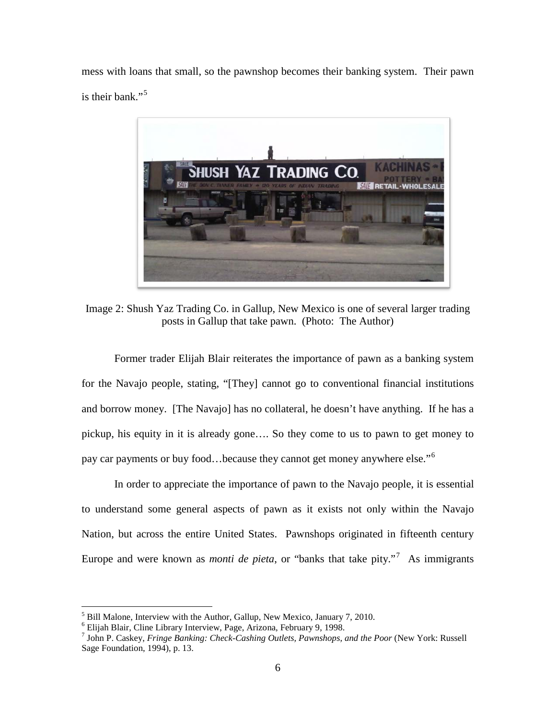mess with loans that small, so the pawnshop becomes their banking system. Their pawn is their bank."<sup>[5](#page-5-0)</sup>



Image 2: Shush Yaz Trading Co. in Gallup, New Mexico is one of several larger trading posts in Gallup that take pawn. (Photo: The Author)

Former trader Elijah Blair reiterates the importance of pawn as a banking system for the Navajo people, stating, "[They] cannot go to conventional financial institutions and borrow money. [The Navajo] has no collateral, he doesn't have anything. If he has a pickup, his equity in it is already gone…. So they come to us to pawn to get money to pay car payments or buy food...because they cannot get money anywhere else."<sup>[6](#page-5-1)</sup>

In order to appreciate the importance of pawn to the Navajo people, it is essential to understand some general aspects of pawn as it exists not only within the Navajo Nation, but across the entire United States. Pawnshops originated in fifteenth century Europe and were known as *monti de pieta*, or "banks that take pity."[7](#page-5-2) As immigrants

<span id="page-5-0"></span> $^5$  Bill Malone, Interview with the Author, Gallup, New Mexico, January 7, 2010.<br> $^6$  Elijah Blair, Cline Library Interview, Page, Arizona, February 9, 1998.

<span id="page-5-2"></span><span id="page-5-1"></span><sup>&</sup>lt;sup>7</sup> John P. Caskey, Fringe Banking: Check-Cashing Outlets, Pawnshops, and the Poor (New York: Russell Sage Foundation, 1994), p. 13.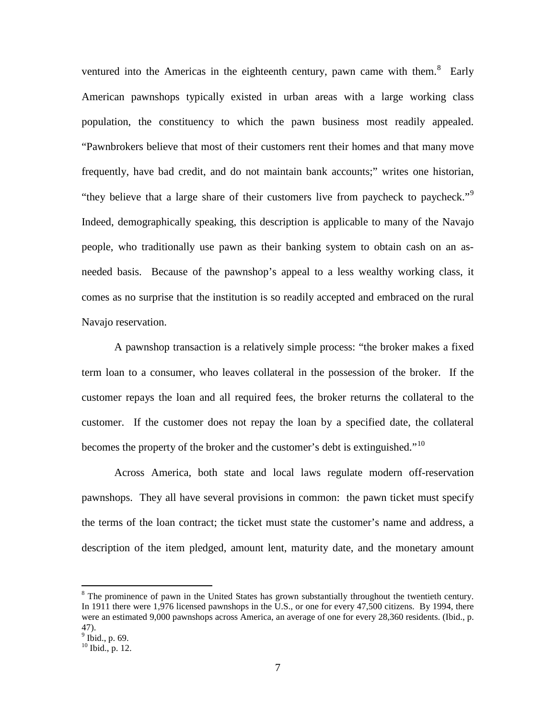ventured into the Americas in the eighteenth century, pawn came with them.<sup>[8](#page-6-0)</sup> Early American pawnshops typically existed in urban areas with a large working class population, the constituency to which the pawn business most readily appealed. "Pawnbrokers believe that most of their customers rent their homes and that many move frequently, have bad credit, and do not maintain bank accounts;" writes one historian, "they believe that a large share of their customers live from paycheck to paycheck."<sup>[9](#page-6-1)</sup> Indeed, demographically speaking, this description is applicable to many of the Navajo people, who traditionally use pawn as their banking system to obtain cash on an asneeded basis. Because of the pawnshop's appeal to a less wealthy working class, it comes as no surprise that the institution is so readily accepted and embraced on the rural Navajo reservation.

A pawnshop transaction is a relatively simple process: "the broker makes a fixed term loan to a consumer, who leaves collateral in the possession of the broker. If the customer repays the loan and all required fees, the broker returns the collateral to the customer. If the customer does not repay the loan by a specified date, the collateral becomes the property of the broker and the customer's debt is extinguished."<sup>[10](#page-6-2)</sup>

Across America, both state and local laws regulate modern off-reservation pawnshops. They all have several provisions in common: the pawn ticket must specify the terms of the loan contract; the ticket must state the customer's name and address, a description of the item pledged, amount lent, maturity date, and the monetary amount

<span id="page-6-0"></span><sup>&</sup>lt;sup>8</sup> The prominence of pawn in the United States has grown substantially throughout the twentieth century. In 1911 there were 1,976 licensed pawnshops in the U.S., or one for every 47,500 citizens. By 1994, there were an estimated 9,000 pawnshops across America, an average of one for every 28,360 residents. (Ibid., p. 47).<br> $^{9}$  Ibid., p. 69.

<span id="page-6-1"></span>

<span id="page-6-2"></span> $10$  Ibid., p. 12.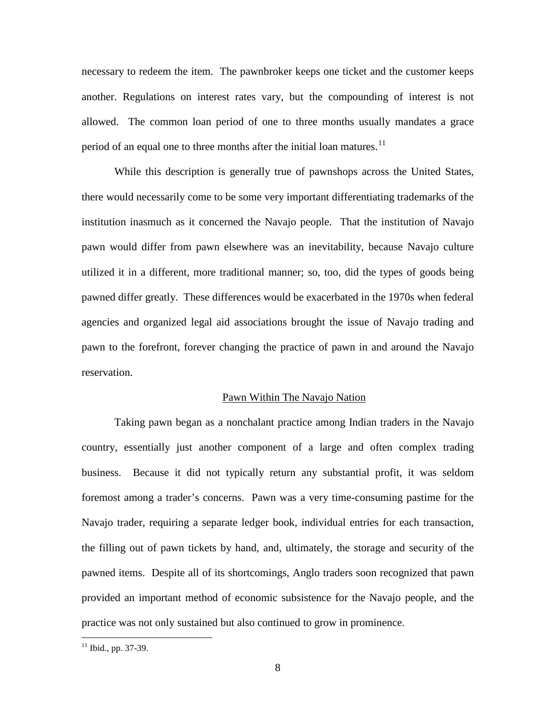necessary to redeem the item. The pawnbroker keeps one ticket and the customer keeps another. Regulations on interest rates vary, but the compounding of interest is not allowed. The common loan period of one to three months usually mandates a grace period of an equal one to three months after the initial loan matures.<sup>[11](#page-7-0)</sup>

While this description is generally true of pawnshops across the United States, there would necessarily come to be some very important differentiating trademarks of the institution inasmuch as it concerned the Navajo people. That the institution of Navajo pawn would differ from pawn elsewhere was an inevitability, because Navajo culture utilized it in a different, more traditional manner; so, too, did the types of goods being pawned differ greatly. These differences would be exacerbated in the 1970s when federal agencies and organized legal aid associations brought the issue of Navajo trading and pawn to the forefront, forever changing the practice of pawn in and around the Navajo reservation.

#### Pawn Within The Navajo Nation

Taking pawn began as a nonchalant practice among Indian traders in the Navajo country, essentially just another component of a large and often complex trading business. Because it did not typically return any substantial profit, it was seldom foremost among a trader's concerns. Pawn was a very time-consuming pastime for the Navajo trader, requiring a separate ledger book, individual entries for each transaction, the filling out of pawn tickets by hand, and, ultimately, the storage and security of the pawned items. Despite all of its shortcomings, Anglo traders soon recognized that pawn provided an important method of economic subsistence for the Navajo people, and the practice was not only sustained but also continued to grow in prominence.

<span id="page-7-0"></span> $11$  Ibid., pp. 37-39.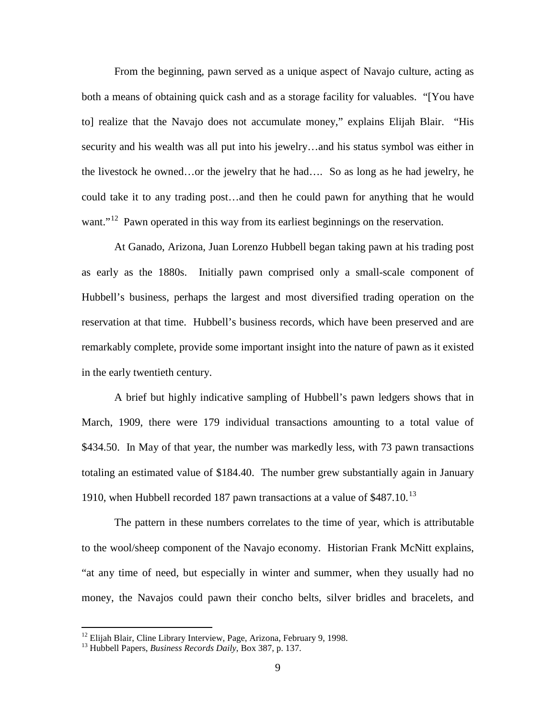From the beginning, pawn served as a unique aspect of Navajo culture, acting as both a means of obtaining quick cash and as a storage facility for valuables. "[You have to] realize that the Navajo does not accumulate money," explains Elijah Blair. "His security and his wealth was all put into his jewelry…and his status symbol was either in the livestock he owned…or the jewelry that he had…. So as long as he had jewelry, he could take it to any trading post…and then he could pawn for anything that he would want."<sup>[12](#page-8-0)</sup> Pawn operated in this way from its earliest beginnings on the reservation.

At Ganado, Arizona, Juan Lorenzo Hubbell began taking pawn at his trading post as early as the 1880s. Initially pawn comprised only a small-scale component of Hubbell's business, perhaps the largest and most diversified trading operation on the reservation at that time. Hubbell's business records, which have been preserved and are remarkably complete, provide some important insight into the nature of pawn as it existed in the early twentieth century.

A brief but highly indicative sampling of Hubbell's pawn ledgers shows that in March, 1909, there were 179 individual transactions amounting to a total value of \$434.50. In May of that year, the number was markedly less, with 73 pawn transactions totaling an estimated value of \$184.40. The number grew substantially again in January 1910, when Hubbell recorded 187 pawn transactions at a value of  $$487.10<sup>13</sup>$  $$487.10<sup>13</sup>$  $$487.10<sup>13</sup>$ 

The pattern in these numbers correlates to the time of year, which is attributable to the wool/sheep component of the Navajo economy. Historian Frank McNitt explains, "at any time of need, but especially in winter and summer, when they usually had no money, the Navajos could pawn their concho belts, silver bridles and bracelets, and

<span id="page-8-1"></span><span id="page-8-0"></span><sup>&</sup>lt;sup>12</sup> Elijah Blair, Cline Library Interview, Page, Arizona, February 9, 1998.<br><sup>13</sup> Hubbell Papers, *Business Records Daily*, Box 387, p. 137.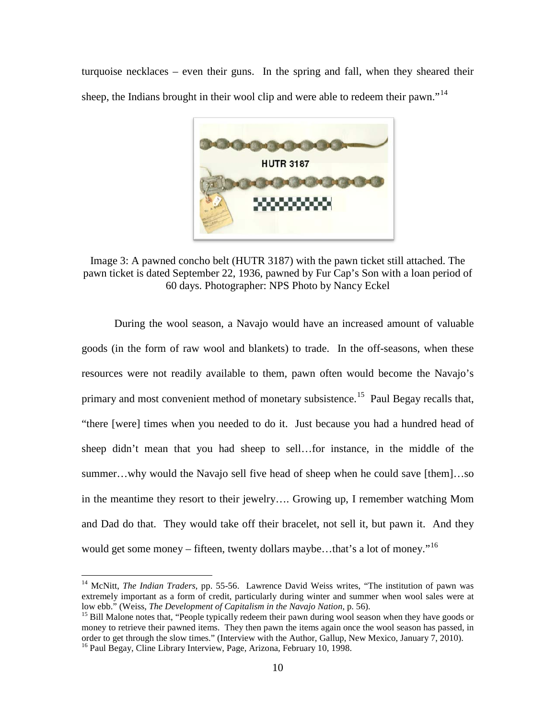turquoise necklaces – even their guns. In the spring and fall, when they sheared their sheep, the Indians brought in their wool clip and were able to redeem their pawn."<sup>[14](#page-9-0)</sup>



Image 3: A pawned concho belt (HUTR 3187) with the pawn ticket still attached. The pawn ticket is dated September 22, 1936, pawned by Fur Cap's Son with a loan period of 60 days. Photographer: NPS Photo by Nancy Eckel

During the wool season, a Navajo would have an increased amount of valuable goods (in the form of raw wool and blankets) to trade. In the off-seasons, when these resources were not readily available to them, pawn often would become the Navajo's primary and most convenient method of monetary subsistence.<sup>15</sup> Paul Begay recalls that, "there [were] times when you needed to do it. Just because you had a hundred head of sheep didn't mean that you had sheep to sell…for instance, in the middle of the summer…why would the Navajo sell five head of sheep when he could save [them]…so in the meantime they resort to their jewelry…. Growing up, I remember watching Mom and Dad do that. They would take off their bracelet, not sell it, but pawn it. And they would get some money – fifteen, twenty dollars maybe...that's a lot of money."<sup>[16](#page-9-2)</sup>

<span id="page-9-0"></span><sup>&</sup>lt;sup>14</sup> McNitt, *The Indian Traders*, pp. 55-56. Lawrence David Weiss writes, "The institution of pawn was extremely important as a form of credit, particularly during winter and summer when wool sales were at low ebb." (Weiss, *The Development of Capitalism in the Navajo Nation,* p. 56).

<span id="page-9-1"></span><sup>&</sup>lt;sup>15</sup> Bill Malone notes that, "People typically redeem their pawn during wool season when they have goods or money to retrieve their pawned items. They then pawn the items again once the wool season has passed, in order to get through the slow times." (Interview with the Author, Gallup, New Mexico, January 7, 2010). <sup>16</sup> Paul Begay, Cline Library Interview, Page, Arizona, February 10, 1998.

<span id="page-9-2"></span>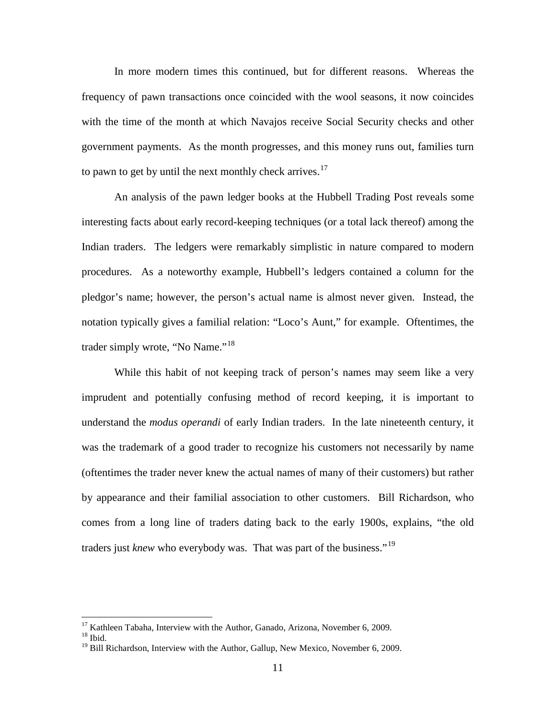In more modern times this continued, but for different reasons. Whereas the frequency of pawn transactions once coincided with the wool seasons, it now coincides with the time of the month at which Navajos receive Social Security checks and other government payments. As the month progresses, and this money runs out, families turn to pawn to get by until the next monthly check arrives.<sup>[17](#page-10-0)</sup>

An analysis of the pawn ledger books at the Hubbell Trading Post reveals some interesting facts about early record-keeping techniques (or a total lack thereof) among the Indian traders. The ledgers were remarkably simplistic in nature compared to modern procedures. As a noteworthy example, Hubbell's ledgers contained a column for the pledgor's name; however, the person's actual name is almost never given. Instead, the notation typically gives a familial relation: "Loco's Aunt," for example. Oftentimes, the trader simply wrote, "No Name."<sup>[18](#page-10-1)</sup>

While this habit of not keeping track of person's names may seem like a very imprudent and potentially confusing method of record keeping, it is important to understand the *modus operandi* of early Indian traders. In the late nineteenth century, it was the trademark of a good trader to recognize his customers not necessarily by name (oftentimes the trader never knew the actual names of many of their customers) but rather by appearance and their familial association to other customers. Bill Richardson, who comes from a long line of traders dating back to the early 1900s, explains, "the old traders just *knew* who everybody was. That was part of the business." [19](#page-10-2)

<span id="page-10-0"></span><sup>&</sup>lt;sup>17</sup> Kathleen Tabaha, Interview with the Author, Ganado, Arizona, November 6, 2009.<br><sup>18</sup> Ibid

<span id="page-10-1"></span>

<span id="page-10-2"></span><sup>&</sup>lt;sup>19</sup> Bill Richardson, Interview with the Author, Gallup, New Mexico, November 6, 2009.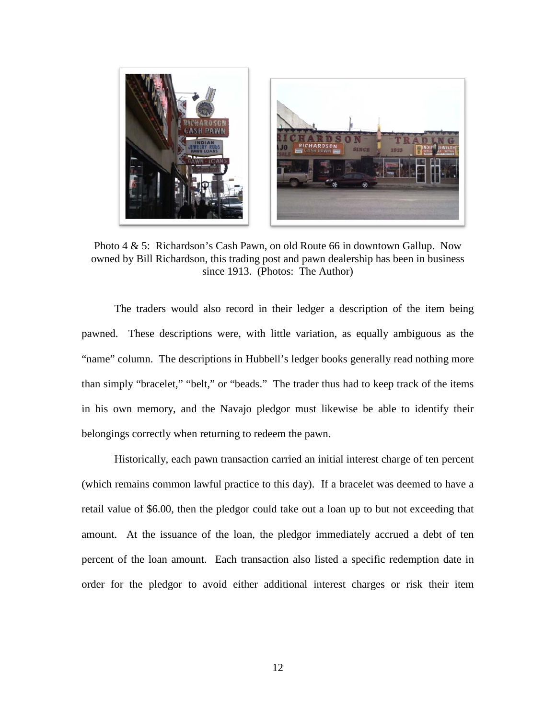

Photo 4 & 5: Richardson's Cash Pawn, on old Route 66 in downtown Gallup. Now owned by Bill Richardson, this trading post and pawn dealership has been in business since 1913. (Photos: The Author)

The traders would also record in their ledger a description of the item being pawned. These descriptions were, with little variation, as equally ambiguous as the "name" column. The descriptions in Hubbell's ledger books generally read nothing more than simply "bracelet," "belt," or "beads." The trader thus had to keep track of the items in his own memory, and the Navajo pledgor must likewise be able to identify their belongings correctly when returning to redeem the pawn.

Historically, each pawn transaction carried an initial interest charge of ten percent (which remains common lawful practice to this day). If a bracelet was deemed to have a retail value of \$6.00, then the pledgor could take out a loan up to but not exceeding that amount. At the issuance of the loan, the pledgor immediately accrued a debt of ten percent of the loan amount. Each transaction also listed a specific redemption date in order for the pledgor to avoid either additional interest charges or risk their item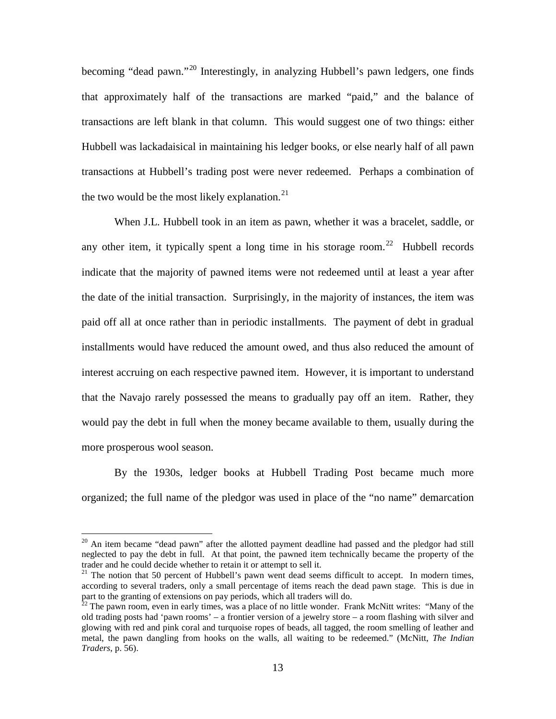becoming "dead pawn."<sup>[20](#page-12-0)</sup> Interestingly, in analyzing Hubbell's pawn ledgers, one finds that approximately half of the transactions are marked "paid," and the balance of transactions are left blank in that column. This would suggest one of two things: either Hubbell was lackadaisical in maintaining his ledger books, or else nearly half of all pawn transactions at Hubbell's trading post were never redeemed. Perhaps a combination of the two would be the most likely explanation.<sup>[21](#page-12-1)</sup>

When J.L. Hubbell took in an item as pawn, whether it was a bracelet, saddle, or any other item, it typically spent a long time in his storage room.<sup>[22](#page-12-2)</sup> Hubbell records indicate that the majority of pawned items were not redeemed until at least a year after the date of the initial transaction. Surprisingly, in the majority of instances, the item was paid off all at once rather than in periodic installments. The payment of debt in gradual installments would have reduced the amount owed, and thus also reduced the amount of interest accruing on each respective pawned item. However, it is important to understand that the Navajo rarely possessed the means to gradually pay off an item. Rather, they would pay the debt in full when the money became available to them, usually during the more prosperous wool season.

By the 1930s, ledger books at Hubbell Trading Post became much more organized; the full name of the pledgor was used in place of the "no name" demarcation

<span id="page-12-0"></span> $^{20}$  An item became "dead pawn" after the allotted payment deadline had passed and the pledgor had still neglected to pay the debt in full. At that point, the pawned item technically became the property of the trader and he could decide whether to retain it or attempt to sell it.

<span id="page-12-1"></span> $21$  The notion that 50 percent of Hubbell's pawn went dead seems difficult to accept. In modern times, according to several traders, only a small percentage of items reach the dead pawn stage. This is due in part to the granting of extensions on pay periods, which all traders will do.<br><sup>22</sup> The pawn room, even in early times, was a place of no little wonder. Frank McNitt writes: "Many of the

<span id="page-12-2"></span>old trading posts had 'pawn rooms' – a frontier version of a jewelry store – a room flashing with silver and glowing with red and pink coral and turquoise ropes of beads, all tagged, the room smelling of leather and metal, the pawn dangling from hooks on the walls, all waiting to be redeemed." (McNitt, *The Indian Traders*, p. 56).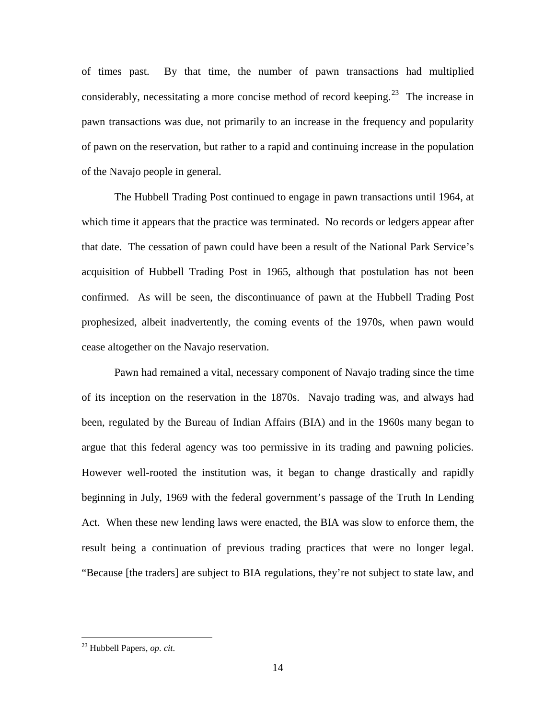of times past. By that time, the number of pawn transactions had multiplied considerably, necessitating a more concise method of record keeping.<sup>[23](#page-13-0)</sup> The increase in pawn transactions was due, not primarily to an increase in the frequency and popularity of pawn on the reservation, but rather to a rapid and continuing increase in the population of the Navajo people in general.

The Hubbell Trading Post continued to engage in pawn transactions until 1964, at which time it appears that the practice was terminated. No records or ledgers appear after that date. The cessation of pawn could have been a result of the National Park Service's acquisition of Hubbell Trading Post in 1965, although that postulation has not been confirmed. As will be seen, the discontinuance of pawn at the Hubbell Trading Post prophesized, albeit inadvertently, the coming events of the 1970s, when pawn would cease altogether on the Navajo reservation.

Pawn had remained a vital, necessary component of Navajo trading since the time of its inception on the reservation in the 1870s. Navajo trading was, and always had been, regulated by the Bureau of Indian Affairs (BIA) and in the 1960s many began to argue that this federal agency was too permissive in its trading and pawning policies. However well-rooted the institution was, it began to change drastically and rapidly beginning in July, 1969 with the federal government's passage of the Truth In Lending Act. When these new lending laws were enacted, the BIA was slow to enforce them, the result being a continuation of previous trading practices that were no longer legal. "Because [the traders] are subject to BIA regulations, they're not subject to state law, and

<span id="page-13-0"></span> <sup>23</sup> Hubbell Papers, *op. cit*.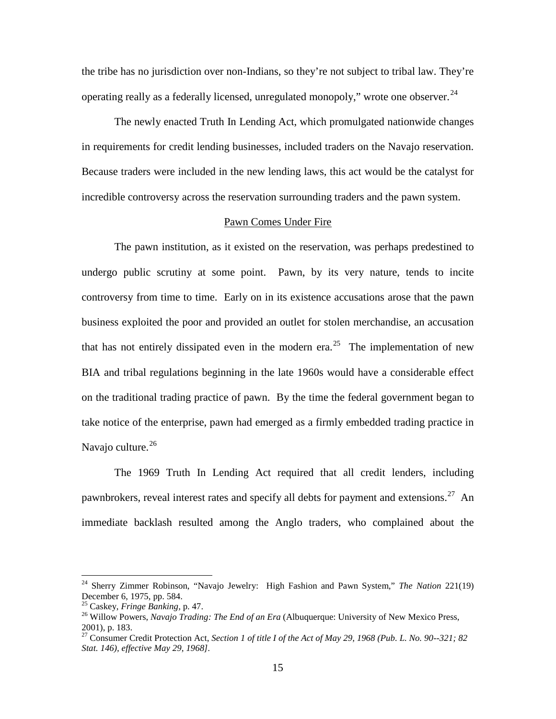the tribe has no jurisdiction over non-Indians, so they're not subject to tribal law. They're operating really as a federally licensed, unregulated monopoly," wrote one observer.  $24$ 

The newly enacted Truth In Lending Act, which promulgated nationwide changes in requirements for credit lending businesses, included traders on the Navajo reservation. Because traders were included in the new lending laws, this act would be the catalyst for incredible controversy across the reservation surrounding traders and the pawn system.

#### Pawn Comes Under Fire

The pawn institution, as it existed on the reservation, was perhaps predestined to undergo public scrutiny at some point. Pawn, by its very nature, tends to incite controversy from time to time. Early on in its existence accusations arose that the pawn business exploited the poor and provided an outlet for stolen merchandise, an accusation that has not entirely dissipated even in the modern era.<sup>[25](#page-14-1)</sup> The implementation of new BIA and tribal regulations beginning in the late 1960s would have a considerable effect on the traditional trading practice of pawn. By the time the federal government began to take notice of the enterprise, pawn had emerged as a firmly embedded trading practice in Navajo culture.<sup>[26](#page-14-2)</sup>

The 1969 Truth In Lending Act required that all credit lenders, including pawnbrokers, reveal interest rates and specify all debts for payment and extensions.<sup>[27](#page-14-3)</sup> An immediate backlash resulted among the Anglo traders, who complained about the

<span id="page-14-0"></span> <sup>24</sup> Sherry Zimmer Robinson, "Navajo Jewelry: High Fashion and Pawn System," *The Nation* 221(19) December 6, 1975, pp. 584.<br><sup>25</sup> Caskey, *Fringe Banking*, p. 47.

<span id="page-14-1"></span>

<span id="page-14-2"></span><sup>&</sup>lt;sup>26</sup> Willow Powers, *Navajo Trading: The End of an Era* (Albuquerque: University of New Mexico Press, 2001), p. 183.

<span id="page-14-3"></span><sup>27</sup> Consumer Credit Protection Act, *Section 1 of title I of the Act of May 29, 1968 (Pub. L. No. 90--321; 82 Stat. 146), effective May 29, 1968].*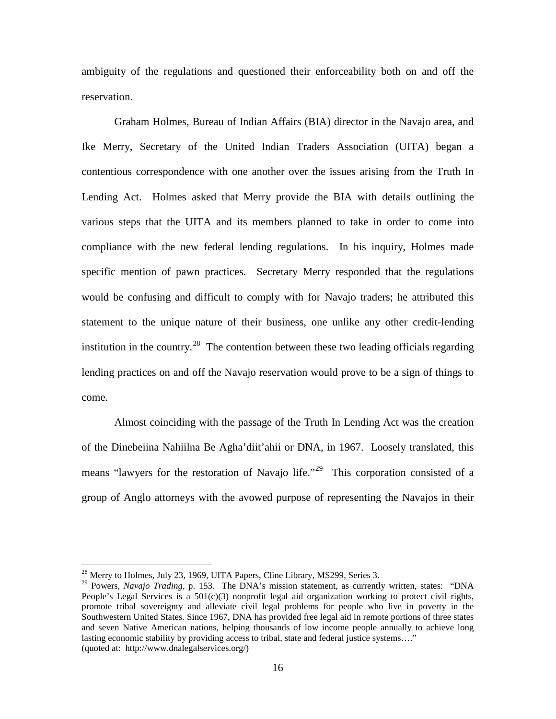ambiguity of the regulations and questioned their enforceability both on and off the reservation.

Graham Holmes, Bureau of Indian Affairs (BIA) director in the Navajo area, and Ike Merry, Secretary of the United Indian Traders Association (UITA) began a contentious correspondence with one another over the issues arising from the Truth In Lending Act. Holmes asked that Merry provide the BIA with details outlining the various steps that the UITA and its members planned to take in order to come into compliance with the new federal lending regulations. In his inquiry, Holmes made specific mention of pawn practices. Secretary Merry responded that the regulations would be confusing and difficult to comply with for Navajo traders; he attributed this statement to the unique nature of their business, one unlike any other credit-lending institution in the country.<sup>[28](#page-15-0)</sup> The contention between these two leading officials regarding lending practices on and off the Navajo reservation would prove to be a sign of things to come.

Almost coinciding with the passage of the Truth In Lending Act was the creation of the Dinebeiina Nahiilna Be Agha'diit'ahii or DNA, in 1967. Loosely translated, this means "lawyers for the restoration of Navajo life."<sup>[29](#page-15-1)</sup> This corporation consisted of a group of Anglo attorneys with the avowed purpose of representing the Navajos in their

<span id="page-15-0"></span> $^{28}$  Merry to Holmes, July 23, 1969, UITA Papers, Cline Library, MS299, Series 3.

<span id="page-15-1"></span><sup>&</sup>lt;sup>29</sup> Powers, *Navajo Trading*, p. 153. The DNA's mission statement, as currently written, states: "DNA People's Legal Services is a  $501(c)(3)$  nonprofit legal aid organization working to protect civil rights, promote tribal sovereignty and alleviate civil legal problems for people who live in poverty in the Southwestern United States. Since 1967, DNA has provided free legal aid in remote portions of three states and seven Native American nations, helping thousands of low income people annually to achieve long lasting economic stability by providing access to tribal, state and federal justice systems...." (quoted at: http://www.dnalegalservices.org/)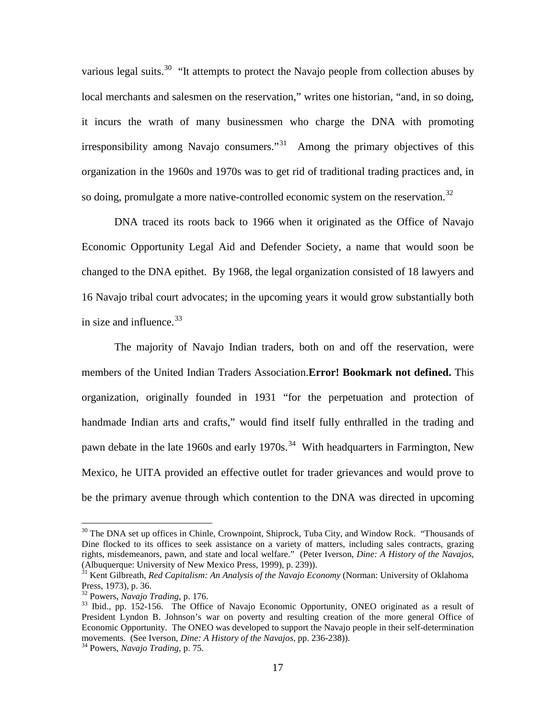various legal suits.<sup>[30](#page-16-0)</sup> "It attempts to protect the Navajo people from collection abuses by local merchants and salesmen on the reservation," writes one historian, "and, in so doing, it incurs the wrath of many businessmen who charge the DNA with promoting irresponsibility among Navajo consumers."<sup>[31](#page-16-1)</sup> Among the primary objectives of this organization in the 1960s and 1970s was to get rid of traditional trading practices and, in so doing, promulgate a more native-controlled economic system on the reservation.<sup>[32](#page-16-2)</sup>

DNA traced its roots back to 1966 when it originated as the Office of Navajo Economic Opportunity Legal Aid and Defender Society, a name that would soon be changed to the DNA epithet. By 1968, the legal organization consisted of 18 lawyers and 16 Navajo tribal court advocates; in the upcoming years it would grow substantially both in size and influence. $33$ 

The majority of Navajo Indian traders, both on and off the reservation, were members of the United Indian Traders Association.**Error! Bookmark not defined.** This organization, originally founded in 1931 "for the perpetuation and protection of handmade Indian arts and crafts," would find itself fully enthralled in the trading and pawn debate in the late 1960s and early 1970s.<sup>[34](#page-16-4)</sup> With headquarters in Farmington, New Mexico, he UITA provided an effective outlet for trader grievances and would prove to be the primary avenue through which contention to the DNA was directed in upcoming

<span id="page-16-0"></span> $30$  The DNA set up offices in Chinle, Crownpoint, Shiprock, Tuba City, and Window Rock. "Thousands of Dine flocked to its offices to seek assistance on a variety of matters, including sales contracts, grazing rights, misdemeanors, pawn, and state and local welfare." (Peter Iverson, *Dine: A History of the Navajos,* (Albuquerque: University of New Mexico Press, 1999), p. 239)).

<span id="page-16-1"></span><sup>&</sup>lt;sup>31</sup> Kent Gilbreath, *Red Capitalism: An Analysis of the Navajo Economy* (Norman: University of Oklahoma Press, 1973), p. 36.

<span id="page-16-3"></span><span id="page-16-2"></span><sup>&</sup>lt;sup>32</sup> Powers, *Navajo Trading*, p. 176.<br><sup>33</sup> Ibid., pp. 152-156. The Office of Navajo Economic Opportunity, ONEO originated as a result of President Lyndon B. Johnson's war on poverty and resulting creation of the more general Office of Economic Opportunity. The ONEO was developed to support the Navajo people in their self-determination movements. (See Iverson, *Dine: A History of the Navajos*, pp. 236-238)). <sup>34</sup> Powers, *Navajo Trading*, p. 75.

<span id="page-16-4"></span>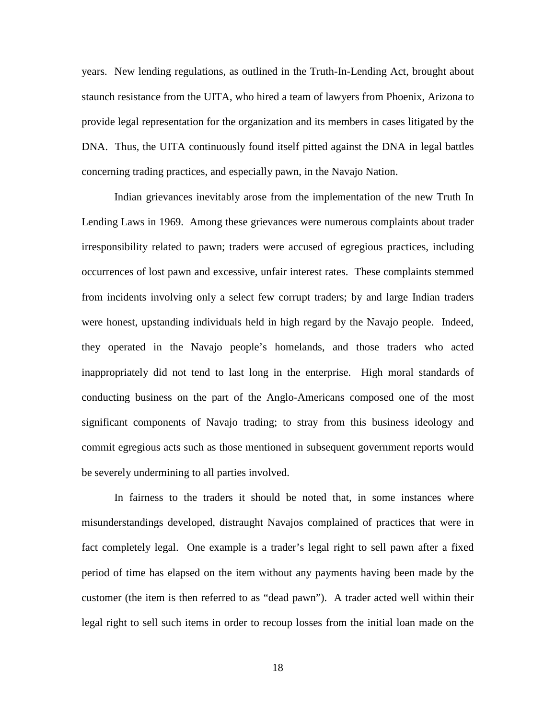years. New lending regulations, as outlined in the Truth-In-Lending Act, brought about staunch resistance from the UITA, who hired a team of lawyers from Phoenix, Arizona to provide legal representation for the organization and its members in cases litigated by the DNA. Thus, the UITA continuously found itself pitted against the DNA in legal battles concerning trading practices, and especially pawn, in the Navajo Nation.

Indian grievances inevitably arose from the implementation of the new Truth In Lending Laws in 1969. Among these grievances were numerous complaints about trader irresponsibility related to pawn; traders were accused of egregious practices, including occurrences of lost pawn and excessive, unfair interest rates. These complaints stemmed from incidents involving only a select few corrupt traders; by and large Indian traders were honest, upstanding individuals held in high regard by the Navajo people. Indeed, they operated in the Navajo people's homelands, and those traders who acted inappropriately did not tend to last long in the enterprise. High moral standards of conducting business on the part of the Anglo-Americans composed one of the most significant components of Navajo trading; to stray from this business ideology and commit egregious acts such as those mentioned in subsequent government reports would be severely undermining to all parties involved.

In fairness to the traders it should be noted that, in some instances where misunderstandings developed, distraught Navajos complained of practices that were in fact completely legal. One example is a trader's legal right to sell pawn after a fixed period of time has elapsed on the item without any payments having been made by the customer (the item is then referred to as "dead pawn"). A trader acted well within their legal right to sell such items in order to recoup losses from the initial loan made on the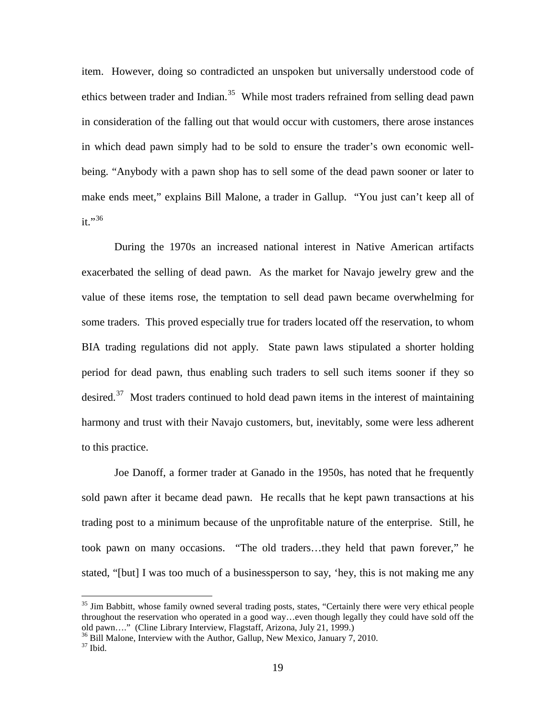item. However, doing so contradicted an unspoken but universally understood code of ethics between trader and Indian.<sup>[35](#page-18-0)</sup> While most traders refrained from selling dead pawn in consideration of the falling out that would occur with customers, there arose instances in which dead pawn simply had to be sold to ensure the trader's own economic wellbeing. "Anybody with a pawn shop has to sell some of the dead pawn sooner or later to make ends meet," explains Bill Malone, a trader in Gallup. "You just can't keep all of  $it.$ "[36](#page-18-1)

During the 1970s an increased national interest in Native American artifacts exacerbated the selling of dead pawn. As the market for Navajo jewelry grew and the value of these items rose, the temptation to sell dead pawn became overwhelming for some traders. This proved especially true for traders located off the reservation, to whom BIA trading regulations did not apply. State pawn laws stipulated a shorter holding period for dead pawn, thus enabling such traders to sell such items sooner if they so desired.<sup>[37](#page-18-2)</sup> Most traders continued to hold dead pawn items in the interest of maintaining harmony and trust with their Navajo customers, but, inevitably, some were less adherent to this practice.

Joe Danoff, a former trader at Ganado in the 1950s, has noted that he frequently sold pawn after it became dead pawn. He recalls that he kept pawn transactions at his trading post to a minimum because of the unprofitable nature of the enterprise. Still, he took pawn on many occasions. "The old traders…they held that pawn forever," he stated, "[but] I was too much of a businessperson to say, 'hey, this is not making me any

<span id="page-18-0"></span><sup>&</sup>lt;sup>35</sup> Jim Babbitt, whose family owned several trading posts, states, "Certainly there were very ethical people throughout the reservation who operated in a good way...even though legally they could have sold off the old pawn...." (Cline Library Interview, Flagstaff, Arizona, July 21, 1999.)

<span id="page-18-2"></span><span id="page-18-1"></span> $\frac{36}{37}$  Bill Malone, Interview with the Author, Gallup, New Mexico, January 7, 2010. 37 Ibid.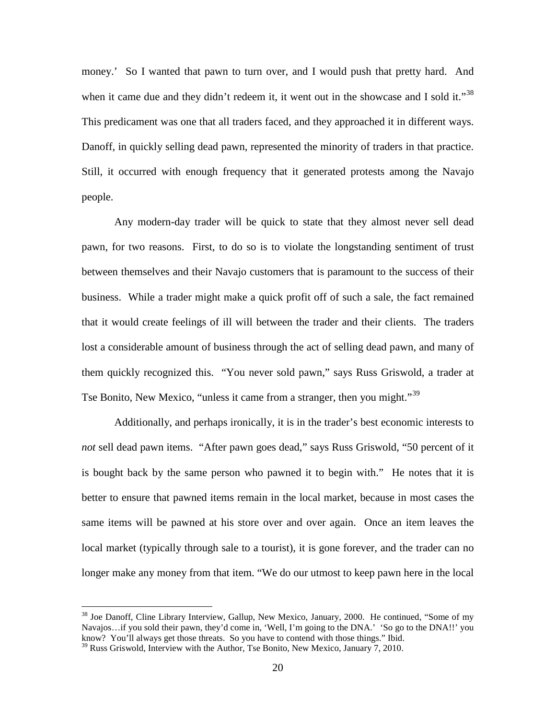money.' So I wanted that pawn to turn over, and I would push that pretty hard. And when it came due and they didn't redeem it, it went out in the showcase and I sold it."<sup>[38](#page-19-0)</sup> This predicament was one that all traders faced, and they approached it in different ways. Danoff, in quickly selling dead pawn, represented the minority of traders in that practice. Still, it occurred with enough frequency that it generated protests among the Navajo people.

Any modern-day trader will be quick to state that they almost never sell dead pawn, for two reasons. First, to do so is to violate the longstanding sentiment of trust between themselves and their Navajo customers that is paramount to the success of their business. While a trader might make a quick profit off of such a sale, the fact remained that it would create feelings of ill will between the trader and their clients. The traders lost a considerable amount of business through the act of selling dead pawn, and many of them quickly recognized this. "You never sold pawn," says Russ Griswold, a trader at Tse Bonito, New Mexico, "unless it came from a stranger, then you might."<sup>[39](#page-19-1)</sup>

Additionally, and perhaps ironically, it is in the trader's best economic interests to *not* sell dead pawn items. "After pawn goes dead," says Russ Griswold, "50 percent of it is bought back by the same person who pawned it to begin with." He notes that it is better to ensure that pawned items remain in the local market, because in most cases the same items will be pawned at his store over and over again. Once an item leaves the local market (typically through sale to a tourist), it is gone forever, and the trader can no longer make any money from that item. "We do our utmost to keep pawn here in the local

<span id="page-19-0"></span><sup>&</sup>lt;sup>38</sup> Joe Danoff, Cline Library Interview, Gallup, New Mexico, January, 2000. He continued, "Some of my Navajos…if you sold their pawn, they'd come in, 'Well, I'm going to the DNA.' 'So go to the DNA!!' you know? You'll always get those threats. So you have to contend with those things." Ibid.

<span id="page-19-1"></span> $39$  Russ Griswold, Interview with the Author, Tse Bonito, New Mexico, January 7, 2010.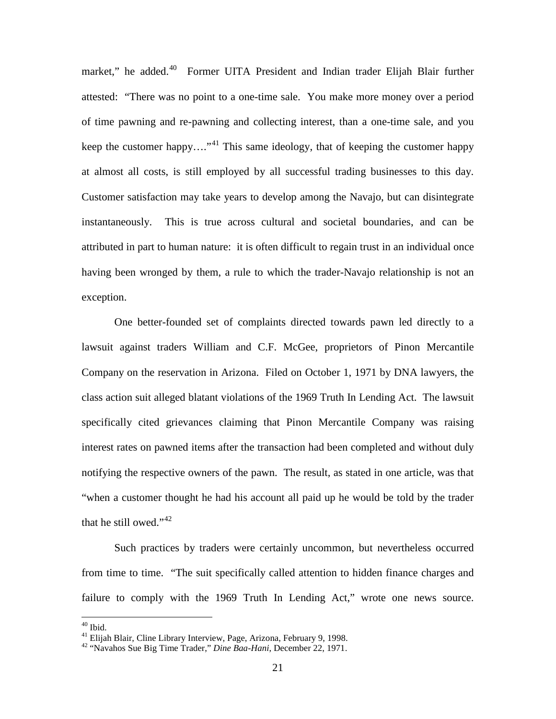market," he added.<sup>40</sup> Former UITA President and Indian trader Elijah Blair further attested: "There was no point to a one-time sale. You make more money over a period of time pawning and re-pawning and collecting interest, than a one-time sale, and you keep the customer happy...."<sup>[41](#page-20-1)</sup> This same ideology, that of keeping the customer happy at almost all costs, is still employed by all successful trading businesses to this day. Customer satisfaction may take years to develop among the Navajo, but can disintegrate instantaneously. This is true across cultural and societal boundaries, and can be attributed in part to human nature: it is often difficult to regain trust in an individual once having been wronged by them, a rule to which the trader-Navajo relationship is not an exception.

One better-founded set of complaints directed towards pawn led directly to a lawsuit against traders William and C.F. McGee, proprietors of Pinon Mercantile Company on the reservation in Arizona. Filed on October 1, 1971 by DNA lawyers, the class action suit alleged blatant violations of the 1969 Truth In Lending Act. The lawsuit specifically cited grievances claiming that Pinon Mercantile Company was raising interest rates on pawned items after the transaction had been completed and without duly notifying the respective owners of the pawn. The result, as stated in one article, was that "when a customer thought he had his account all paid up he would be told by the trader that he still owed."<sup>[42](#page-20-2)</sup>

Such practices by traders were certainly uncommon, but nevertheless occurred from time to time. "The suit specifically called attention to hidden finance charges and failure to comply with the 1969 Truth In Lending Act," wrote one news source.

<span id="page-20-1"></span><span id="page-20-0"></span><sup>40</sup> Ibid. <sup>41</sup> Elijah Blair, Cline Library Interview, Page, Arizona, February 9, 1998. <sup>42</sup> "Navahos Sue Big Time Trader," *Dine Baa-Hani*, December 22, 1971.

<span id="page-20-2"></span>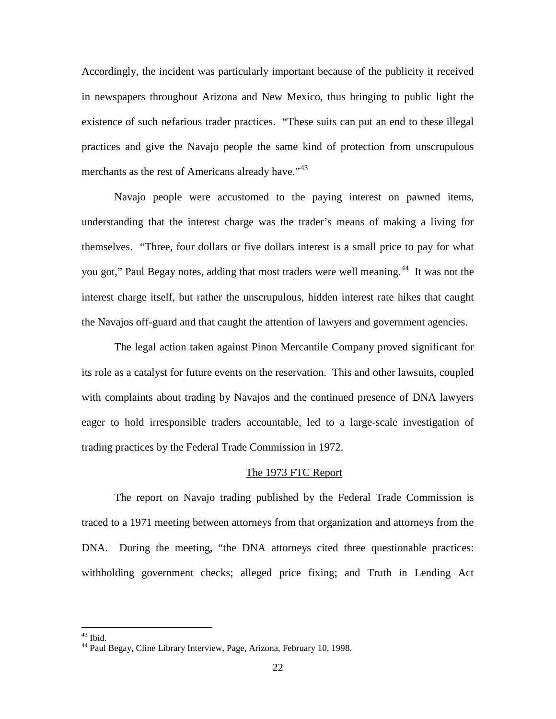Accordingly, the incident was particularly important because of the publicity it received in newspapers throughout Arizona and New Mexico, thus bringing to public light the existence of such nefarious trader practices. "These suits can put an end to these illegal practices and give the Navajo people the same kind of protection from unscrupulous merchants as the rest of Americans already have."<sup>[43](#page-21-0)</sup>

Navajo people were accustomed to the paying interest on pawned items, understanding that the interest charge was the trader's means of making a living for themselves. "Three, four dollars or five dollars interest is a small price to pay for what you got," Paul Begay notes, adding that most traders were well meaning.<sup>[44](#page-21-1)</sup> It was not the interest charge itself, but rather the unscrupulous, hidden interest rate hikes that caught the Navajos off-guard and that caught the attention of lawyers and government agencies.

The legal action taken against Pinon Mercantile Company proved significant for its role as a catalyst for future events on the reservation. This and other lawsuits, coupled with complaints about trading by Navajos and the continued presence of DNA lawyers eager to hold irresponsible traders accountable, led to a large-scale investigation of trading practices by the Federal Trade Commission in 1972.

#### The 1973 FTC Report

The report on Navajo trading published by the Federal Trade Commission is traced to a 1971 meeting between attorneys from that organization and attorneys from the DNA. During the meeting, "the DNA attorneys cited three questionable practices: withholding government checks; alleged price fixing; and Truth in Lending Act

<span id="page-21-1"></span><span id="page-21-0"></span><sup>&</sup>lt;sup>43</sup> Ibid.<br><sup>44</sup> Paul Begay, Cline Library Interview, Page, Arizona, February 10, 1998.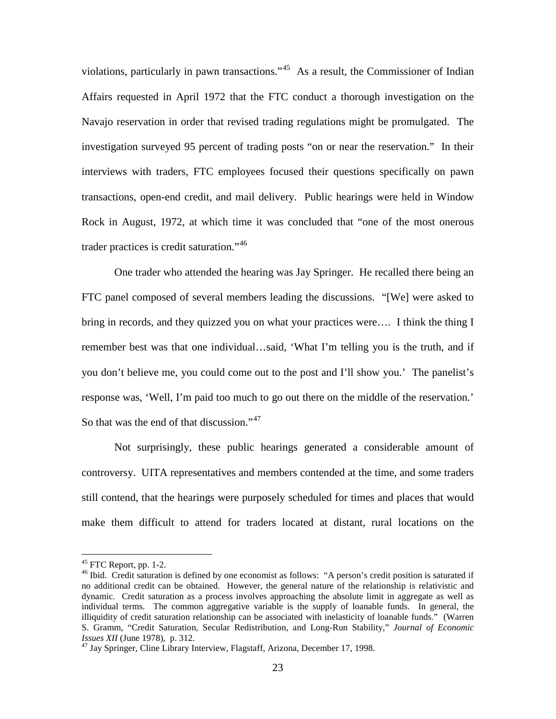violations, particularly in pawn transactions."<sup>45</sup> As a result, the Commissioner of Indian Affairs requested in April 1972 that the FTC conduct a thorough investigation on the Navajo reservation in order that revised trading regulations might be promulgated. The investigation surveyed 95 percent of trading posts "on or near the reservation." In their interviews with traders, FTC employees focused their questions specifically on pawn transactions, open-end credit, and mail delivery. Public hearings were held in Window Rock in August, 1972, at which time it was concluded that "one of the most onerous trader practices is credit saturation."<sup>[46](#page-22-1)</sup>

One trader who attended the hearing was Jay Springer. He recalled there being an FTC panel composed of several members leading the discussions. "[We] were asked to bring in records, and they quizzed you on what your practices were…. I think the thing I remember best was that one individual…said, 'What I'm telling you is the truth, and if you don't believe me, you could come out to the post and I'll show you.' The panelist's response was, 'Well, I'm paid too much to go out there on the middle of the reservation.' So that was the end of that discussion."<sup>[47](#page-22-2)</sup>

Not surprisingly, these public hearings generated a considerable amount of controversy. UITA representatives and members contended at the time, and some traders still contend, that the hearings were purposely scheduled for times and places that would make them difficult to attend for traders located at distant, rural locations on the

<span id="page-22-1"></span><span id="page-22-0"></span><sup>&</sup>lt;sup>45</sup> FTC Report, pp. 1-2.<br><sup>46</sup> Ibid. Credit saturation is defined by one economist as follows: "A person's credit position is saturated if no additional credit can be obtained. However, the general nature of the relationship is relativistic and dynamic. Credit saturation as a process involves approaching the absolute limit in aggregate as well as individual terms. The common aggregative variable is the supply of loanable funds. In general, the illiquidity of credit saturation relationship can be associated with inelasticity of loanable funds." (Warren S. Gramm, "Credit Saturation, Secular Redistribution, and Long-Run Stability," *Journal of Economic Issues XII* (June 1978), p. 312.<br><sup>47</sup> Jay Springer, Cline Library Interview, Flagstaff, Arizona, December 17, 1998.

<span id="page-22-2"></span>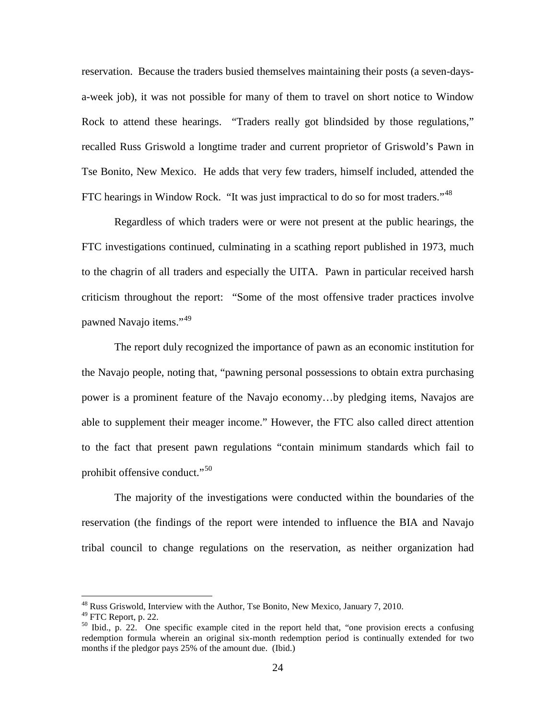reservation. Because the traders busied themselves maintaining their posts (a seven-daysa-week job), it was not possible for many of them to travel on short notice to Window Rock to attend these hearings. "Traders really got blindsided by those regulations," recalled Russ Griswold a longtime trader and current proprietor of Griswold's Pawn in Tse Bonito, New Mexico. He adds that very few traders, himself included, attended the FTC hearings in Window Rock. "It was just impractical to do so for most traders."<sup>[48](#page-23-0)</sup>

Regardless of which traders were or were not present at the public hearings, the FTC investigations continued, culminating in a scathing report published in 1973, much to the chagrin of all traders and especially the UITA. Pawn in particular received harsh criticism throughout the report: "Some of the most offensive trader practices involve pawned Navajo items."<sup>[49](#page-23-1)</sup>

The report duly recognized the importance of pawn as an economic institution for the Navajo people, noting that, "pawning personal possessions to obtain extra purchasing power is a prominent feature of the Navajo economy…by pledging items, Navajos are able to supplement their meager income." However, the FTC also called direct attention to the fact that present pawn regulations "contain minimum standards which fail to prohibit offensive conduct."<sup>[50](#page-23-2)</sup>

The majority of the investigations were conducted within the boundaries of the reservation (the findings of the report were intended to influence the BIA and Navajo tribal council to change regulations on the reservation, as neither organization had

<span id="page-23-0"></span><sup>&</sup>lt;sup>48</sup> Russ Griswold, Interview with the Author, Tse Bonito, New Mexico, January 7, 2010.<br><sup>49</sup> FTC Report, p. 22.

<span id="page-23-2"></span><span id="page-23-1"></span> $50$  Ibid., p. 22. One specific example cited in the report held that, "one provision erects a confusing redemption formula wherein an original six-month redemption period is continually extended for two months if the pledgor pays 25% of the amount due. (Ibid.)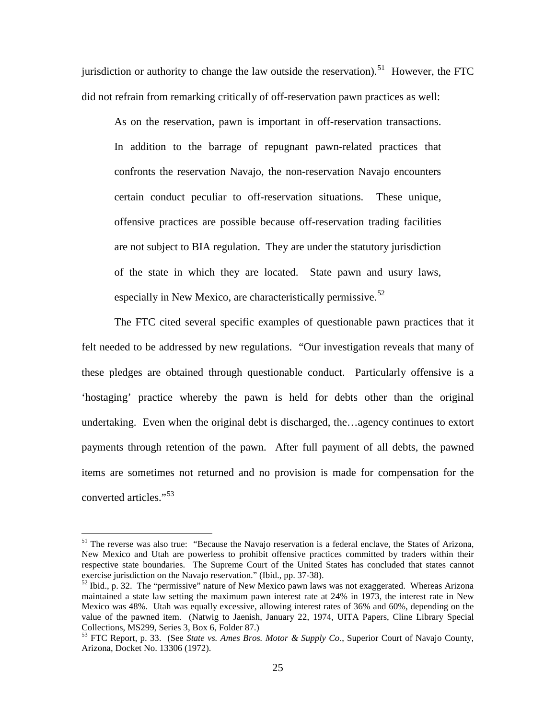jurisdiction or authority to change the law outside the reservation).<sup>[51](#page-24-0)</sup> However, the FTC did not refrain from remarking critically of off-reservation pawn practices as well:

As on the reservation, pawn is important in off-reservation transactions. In addition to the barrage of repugnant pawn-related practices that confronts the reservation Navajo, the non-reservation Navajo encounters certain conduct peculiar to off-reservation situations. These unique, offensive practices are possible because off-reservation trading facilities are not subject to BIA regulation. They are under the statutory jurisdiction of the state in which they are located. State pawn and usury laws, especially in New Mexico, are characteristically permissive.<sup>[52](#page-24-1)</sup>

The FTC cited several specific examples of questionable pawn practices that it felt needed to be addressed by new regulations. "Our investigation reveals that many of these pledges are obtained through questionable conduct. Particularly offensive is a 'hostaging' practice whereby the pawn is held for debts other than the original undertaking. Even when the original debt is discharged, the…agency continues to extort payments through retention of the pawn. After full payment of all debts, the pawned items are sometimes not returned and no provision is made for compensation for the converted articles." [53](#page-24-2)

<span id="page-24-0"></span> $<sup>51</sup>$  The reverse was also true: "Because the Navajo reservation is a federal enclave, the States of Arizona,</sup> New Mexico and Utah are powerless to prohibit offensive practices committed by traders within their respective state boundaries. The Supreme Court of the United States has concluded that states cannot exercise jurisdiction on the Navajo reservation." (Ibid., pp. 37-38).

<span id="page-24-1"></span><sup>&</sup>lt;sup>52</sup> Ibid., p. 32. The "permissive" nature of New Mexico pawn laws was not exaggerated. Whereas Arizona maintained a state law setting the maximum pawn interest rate at 24% in 1973, the interest rate in New Mexico was 48%. Utah was equally excessive, allowing interest rates of 36% and 60%, depending on the value of the pawned item. (Natwig to Jaenish, January 22, 1974, UITA Papers, Cline Library Special Collections, MS299, Series 3, Box 6, Folder 87.)

<span id="page-24-2"></span><sup>53</sup> FTC Report, p. 33. (See *State vs. Ames Bros. Motor & Supply Co*., Superior Court of Navajo County, Arizona, Docket No. 13306 (1972).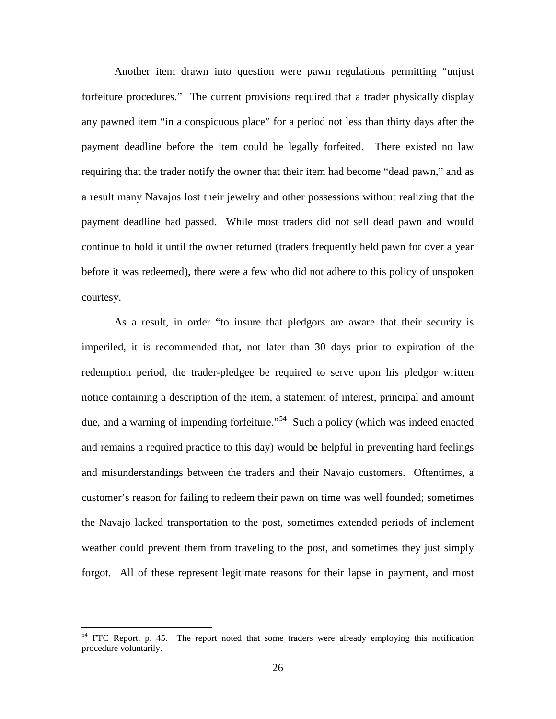Another item drawn into question were pawn regulations permitting "unjust forfeiture procedures." The current provisions required that a trader physically display any pawned item "in a conspicuous place" for a period not less than thirty days after the payment deadline before the item could be legally forfeited. There existed no law requiring that the trader notify the owner that their item had become "dead pawn," and as a result many Navajos lost their jewelry and other possessions without realizing that the payment deadline had passed. While most traders did not sell dead pawn and would continue to hold it until the owner returned (traders frequently held pawn for over a year before it was redeemed), there were a few who did not adhere to this policy of unspoken courtesy.

As a result, in order "to insure that pledgors are aware that their security is imperiled, it is recommended that, not later than 30 days prior to expiration of the redemption period, the trader-pledgee be required to serve upon his pledgor written notice containing a description of the item, a statement of interest, principal and amount due, and a warning of impending forfeiture."<sup>[54](#page-25-0)</sup> Such a policy (which was indeed enacted and remains a required practice to this day) would be helpful in preventing hard feelings and misunderstandings between the traders and their Navajo customers. Oftentimes, a customer's reason for failing to redeem their pawn on time was well founded; sometimes the Navajo lacked transportation to the post, sometimes extended periods of inclement weather could prevent them from traveling to the post, and sometimes they just simply forgot. All of these represent legitimate reasons for their lapse in payment, and most

<span id="page-25-0"></span><sup>&</sup>lt;sup>54</sup> FTC Report, p. 45. The report noted that some traders were already employing this notification procedure voluntarily.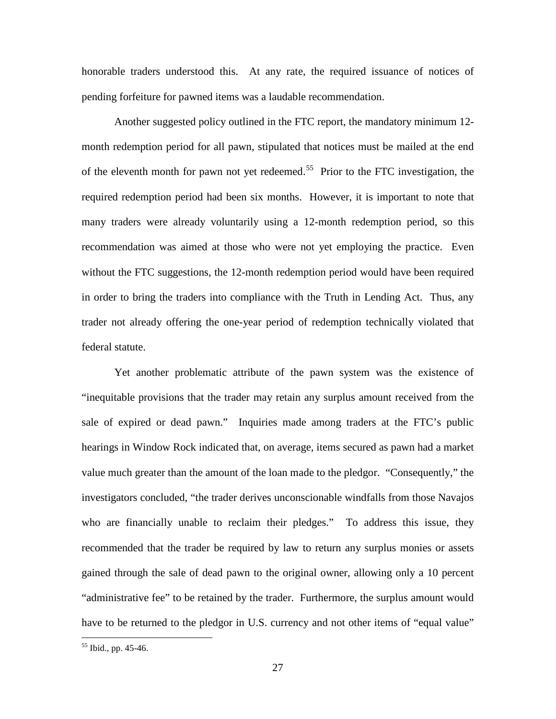honorable traders understood this. At any rate, the required issuance of notices of pending forfeiture for pawned items was a laudable recommendation.

Another suggested policy outlined in the FTC report, the mandatory minimum 12 month redemption period for all pawn, stipulated that notices must be mailed at the end of the eleventh month for pawn not yet redeemed.<sup>[55](#page-26-0)</sup> Prior to the FTC investigation, the required redemption period had been six months. However, it is important to note that many traders were already voluntarily using a 12-month redemption period, so this recommendation was aimed at those who were not yet employing the practice. Even without the FTC suggestions, the 12-month redemption period would have been required in order to bring the traders into compliance with the Truth in Lending Act. Thus, any trader not already offering the one-year period of redemption technically violated that federal statute.

Yet another problematic attribute of the pawn system was the existence of "inequitable provisions that the trader may retain any surplus amount received from the sale of expired or dead pawn." Inquiries made among traders at the FTC's public hearings in Window Rock indicated that, on average, items secured as pawn had a market value much greater than the amount of the loan made to the pledgor. "Consequently," the investigators concluded, "the trader derives unconscionable windfalls from those Navajos who are financially unable to reclaim their pledges." To address this issue, they recommended that the trader be required by law to return any surplus monies or assets gained through the sale of dead pawn to the original owner, allowing only a 10 percent "administrative fee" to be retained by the trader. Furthermore, the surplus amount would have to be returned to the pledgor in U.S. currency and not other items of "equal value"

<span id="page-26-0"></span> <sup>55</sup> Ibid., pp. 45-46.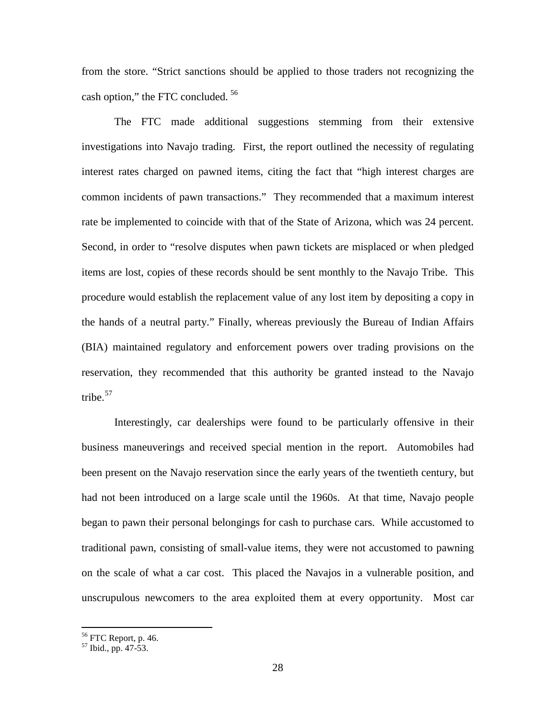from the store. "Strict sanctions should be applied to those traders not recognizing the cash option," the FTC concluded. [56](#page-27-0)

The FTC made additional suggestions stemming from their extensive investigations into Navajo trading. First, the report outlined the necessity of regulating interest rates charged on pawned items, citing the fact that "high interest charges are common incidents of pawn transactions." They recommended that a maximum interest rate be implemented to coincide with that of the State of Arizona, which was 24 percent. Second, in order to "resolve disputes when pawn tickets are misplaced or when pledged items are lost, copies of these records should be sent monthly to the Navajo Tribe. This procedure would establish the replacement value of any lost item by depositing a copy in the hands of a neutral party." Finally, whereas previously the Bureau of Indian Affairs (BIA) maintained regulatory and enforcement powers over trading provisions on the reservation, they recommended that this authority be granted instead to the Navajo tribe. [57](#page-27-1)

Interestingly, car dealerships were found to be particularly offensive in their business maneuverings and received special mention in the report. Automobiles had been present on the Navajo reservation since the early years of the twentieth century, but had not been introduced on a large scale until the 1960s. At that time, Navajo people began to pawn their personal belongings for cash to purchase cars. While accustomed to traditional pawn, consisting of small-value items, they were not accustomed to pawning on the scale of what a car cost. This placed the Navajos in a vulnerable position, and unscrupulous newcomers to the area exploited them at every opportunity. Most car

<span id="page-27-1"></span><span id="page-27-0"></span> $^{56}$  FTC Report, p. 46.<br> $^{57}$  Ibid., pp. 47-53.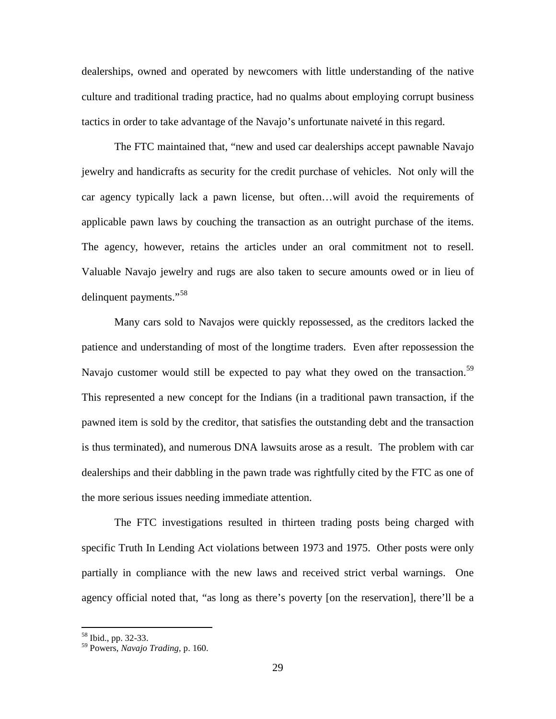dealerships, owned and operated by newcomers with little understanding of the native culture and traditional trading practice, had no qualms about employing corrupt business tactics in order to take advantage of the Navajo's unfortunate naiveté in this regard.

The FTC maintained that, "new and used car dealerships accept pawnable Navajo jewelry and handicrafts as security for the credit purchase of vehicles. Not only will the car agency typically lack a pawn license, but often…will avoid the requirements of applicable pawn laws by couching the transaction as an outright purchase of the items. The agency, however, retains the articles under an oral commitment not to resell. Valuable Navajo jewelry and rugs are also taken to secure amounts owed or in lieu of delinquent payments."<sup>[58](#page-28-0)</sup>

Many cars sold to Navajos were quickly repossessed, as the creditors lacked the patience and understanding of most of the longtime traders. Even after repossession the Navajo customer would still be expected to pay what they owed on the transaction.<sup>[59](#page-28-1)</sup> This represented a new concept for the Indians (in a traditional pawn transaction, if the pawned item is sold by the creditor, that satisfies the outstanding debt and the transaction is thus terminated), and numerous DNA lawsuits arose as a result. The problem with car dealerships and their dabbling in the pawn trade was rightfully cited by the FTC as one of the more serious issues needing immediate attention.

The FTC investigations resulted in thirteen trading posts being charged with specific Truth In Lending Act violations between 1973 and 1975. Other posts were only partially in compliance with the new laws and received strict verbal warnings. One agency official noted that, "as long as there's poverty [on the reservation], there'll be a

<span id="page-28-0"></span> <sup>58</sup> Ibid., pp. 32-33.

<span id="page-28-1"></span><sup>59</sup> Powers, *Navajo Trading*, p. 160.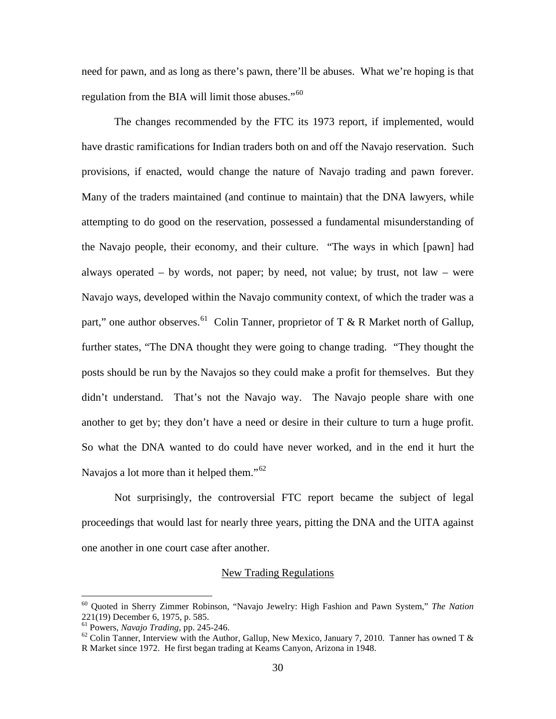need for pawn, and as long as there's pawn, there'll be abuses. What we're hoping is that regulation from the BIA will limit those abuses."<sup>[60](#page-29-0)</sup>

The changes recommended by the FTC its 1973 report, if implemented, would have drastic ramifications for Indian traders both on and off the Navajo reservation. Such provisions, if enacted, would change the nature of Navajo trading and pawn forever. Many of the traders maintained (and continue to maintain) that the DNA lawyers, while attempting to do good on the reservation, possessed a fundamental misunderstanding of the Navajo people, their economy, and their culture. "The ways in which [pawn] had always operated – by words, not paper; by need, not value; by trust, not law – were Navajo ways, developed within the Navajo community context, of which the trader was a part," one author observes.<sup>61</sup> Colin Tanner, proprietor of T & R Market north of Gallup, further states, "The DNA thought they were going to change trading. "They thought the posts should be run by the Navajos so they could make a profit for themselves. But they didn't understand. That's not the Navajo way. The Navajo people share with one another to get by; they don't have a need or desire in their culture to turn a huge profit. So what the DNA wanted to do could have never worked, and in the end it hurt the Navajos a lot more than it helped them."<sup>[62](#page-29-2)</sup>

Not surprisingly, the controversial FTC report became the subject of legal proceedings that would last for nearly three years, pitting the DNA and the UITA against one another in one court case after another.

#### New Trading Regulations

<span id="page-29-0"></span> <sup>60</sup> Quoted in Sherry Zimmer Robinson, "Navajo Jewelry: High Fashion and Pawn System," *The Nation* 221(19) December 6, 1975, p. 585.<br><sup>61</sup> Powers, *Navajo Trading*, pp. 245-246.

<span id="page-29-1"></span>

<span id="page-29-2"></span><sup>&</sup>lt;sup>62</sup> Colin Tanner, Interview with the Author, Gallup, New Mexico, January 7, 2010. Tanner has owned T & R Market since 1972. He first began trading at Keams Canyon, Arizona in 1948.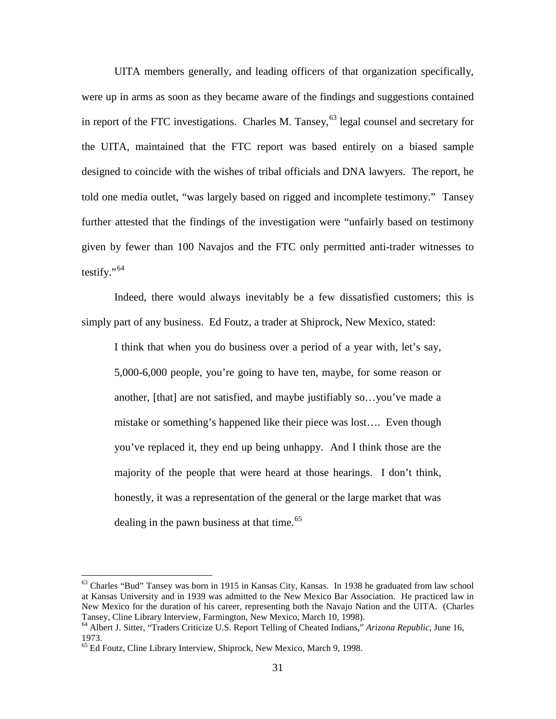UITA members generally, and leading officers of that organization specifically, were up in arms as soon as they became aware of the findings and suggestions contained in report of the FTC investigations. Charles M. Tansey,<sup>[63](#page-30-0)</sup> legal counsel and secretary for the UITA, maintained that the FTC report was based entirely on a biased sample designed to coincide with the wishes of tribal officials and DNA lawyers. The report, he told one media outlet, "was largely based on rigged and incomplete testimony." Tansey further attested that the findings of the investigation were "unfairly based on testimony given by fewer than 100 Navajos and the FTC only permitted anti-trader witnesses to testify."<sup>[64](#page-30-1)</sup>

Indeed, there would always inevitably be a few dissatisfied customers; this is simply part of any business. Ed Foutz, a trader at Shiprock, New Mexico, stated:

I think that when you do business over a period of a year with, let's say, 5,000-6,000 people, you're going to have ten, maybe, for some reason or another, [that] are not satisfied, and maybe justifiably so…you've made a mistake or something's happened like their piece was lost…. Even though you've replaced it, they end up being unhappy. And I think those are the majority of the people that were heard at those hearings. I don't think, honestly, it was a representation of the general or the large market that was dealing in the pawn business at that time. $65$ 

<span id="page-30-0"></span><sup>&</sup>lt;sup>63</sup> Charles "Bud" Tansey was born in 1915 in Kansas City, Kansas. In 1938 he graduated from law school at Kansas University and in 1939 was admitted to the New Mexico Bar Association. He practiced law in New Mexico for the duration of his career, representing both the Navajo Nation and the UITA. (Charles Tansey, Cline Library Interview, Farmington, New Mexico, March 10, 1998). <sup>64</sup> Albert J. Sitter, "Traders Criticize U.S. Report Telling of Cheated Indians," *Arizona Republic*, June 16,

<span id="page-30-1"></span><sup>1973.</sup>

<span id="page-30-2"></span><sup>&</sup>lt;sup>65</sup> Ed Foutz, Cline Library Interview, Shiprock, New Mexico, March 9, 1998.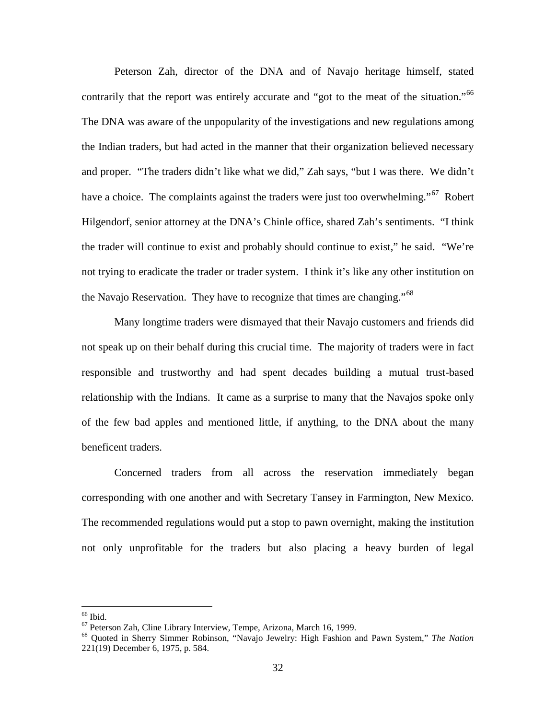Peterson Zah, director of the DNA and of Navajo heritage himself, stated contrarily that the report was entirely accurate and "got to the meat of the situation."<sup>[66](#page-31-0)</sup> The DNA was aware of the unpopularity of the investigations and new regulations among the Indian traders, but had acted in the manner that their organization believed necessary and proper. "The traders didn't like what we did," Zah says, "but I was there. We didn't have a choice. The complaints against the traders were just too overwhelming."<sup>67</sup> Robert Hilgendorf, senior attorney at the DNA's Chinle office, shared Zah's sentiments. "I think the trader will continue to exist and probably should continue to exist," he said. "We're not trying to eradicate the trader or trader system. I think it's like any other institution on the Navajo Reservation. They have to recognize that times are changing."[68](#page-31-2)

Many longtime traders were dismayed that their Navajo customers and friends did not speak up on their behalf during this crucial time. The majority of traders were in fact responsible and trustworthy and had spent decades building a mutual trust-based relationship with the Indians. It came as a surprise to many that the Navajos spoke only of the few bad apples and mentioned little, if anything, to the DNA about the many beneficent traders.

Concerned traders from all across the reservation immediately began corresponding with one another and with Secretary Tansey in Farmington, New Mexico. The recommended regulations would put a stop to pawn overnight, making the institution not only unprofitable for the traders but also placing a heavy burden of legal

<span id="page-31-2"></span>

<span id="page-31-1"></span><span id="page-31-0"></span><sup>&</sup>lt;sup>66</sup> Ibid.<br><sup>67</sup> Peterson Zah, Cline Library Interview, Tempe, Arizona, March 16, 1999.<br><sup>68</sup> Quoted in Sherry Simmer Robinson, "Navajo Jewelry: High Fashion and Pawn System," *The Nation* 221(19) December 6, 1975, p. 584.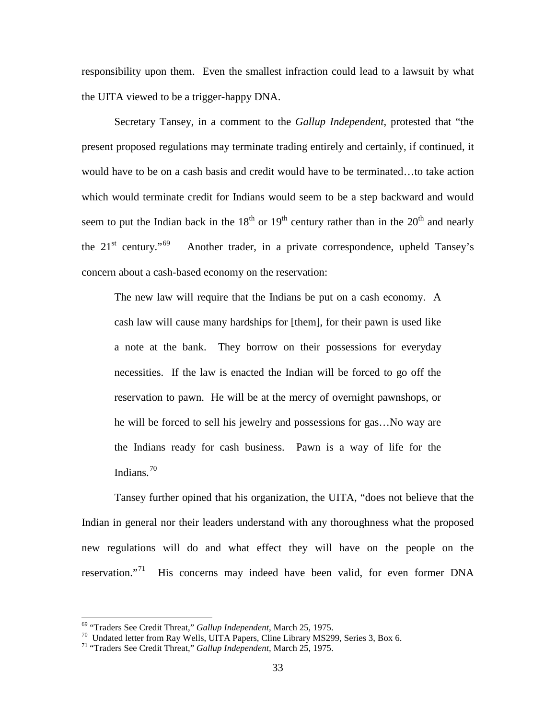responsibility upon them. Even the smallest infraction could lead to a lawsuit by what the UITA viewed to be a trigger-happy DNA.

Secretary Tansey, in a comment to the *Gallup Independent*, protested that "the present proposed regulations may terminate trading entirely and certainly, if continued, it would have to be on a cash basis and credit would have to be terminated…to take action which would terminate credit for Indians would seem to be a step backward and would seem to put the Indian back in the  $18<sup>th</sup>$  or  $19<sup>th</sup>$  century rather than in the  $20<sup>th</sup>$  and nearly the  $21^{\text{st}}$  century."<sup>[69](#page-32-0)</sup> Another trader, in a private correspondence, upheld Tansey's concern about a cash-based economy on the reservation:

The new law will require that the Indians be put on a cash economy. A cash law will cause many hardships for [them], for their pawn is used like a note at the bank. They borrow on their possessions for everyday necessities. If the law is enacted the Indian will be forced to go off the reservation to pawn. He will be at the mercy of overnight pawnshops, or he will be forced to sell his jewelry and possessions for gas…No way are the Indians ready for cash business. Pawn is a way of life for the Indians. [70](#page-32-1)

Tansey further opined that his organization, the UITA, "does not believe that the Indian in general nor their leaders understand with any thoroughness what the proposed new regulations will do and what effect they will have on the people on the reservation."<sup>[71](#page-32-2)</sup> His concerns may indeed have been valid, for even former DNA

<span id="page-32-0"></span> <sup>69</sup> "Traders See Credit Threat," *Gallup Independent*, March 25, 1975.

<span id="page-32-1"></span><sup>70</sup> Undated letter from Ray Wells, UITA Papers, Cline Library MS299, Series 3, Box 6. <sup>71</sup> "Traders See Credit Threat," *Gallup Independent*, March 25, 1975.

<span id="page-32-2"></span>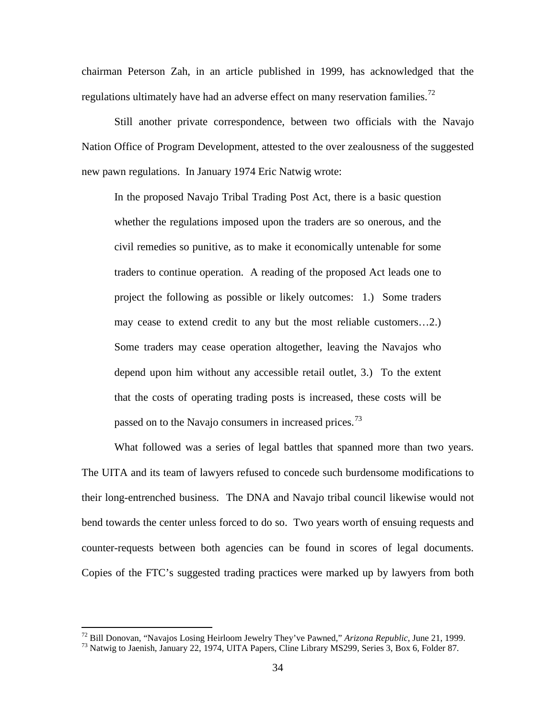chairman Peterson Zah, in an article published in 1999, has acknowledged that the regulations ultimately have had an adverse effect on many reservation families.<sup>[72](#page-33-0)</sup>

Still another private correspondence, between two officials with the Navajo Nation Office of Program Development, attested to the over zealousness of the suggested new pawn regulations. In January 1974 Eric Natwig wrote:

In the proposed Navajo Tribal Trading Post Act, there is a basic question whether the regulations imposed upon the traders are so onerous, and the civil remedies so punitive, as to make it economically untenable for some traders to continue operation. A reading of the proposed Act leads one to project the following as possible or likely outcomes: 1.) Some traders may cease to extend credit to any but the most reliable customers…2.) Some traders may cease operation altogether, leaving the Navajos who depend upon him without any accessible retail outlet, 3.) To the extent that the costs of operating trading posts is increased, these costs will be passed on to the Navajo consumers in increased prices.<sup>[73](#page-33-1)</sup>

What followed was a series of legal battles that spanned more than two years. The UITA and its team of lawyers refused to concede such burdensome modifications to their long-entrenched business. The DNA and Navajo tribal council likewise would not bend towards the center unless forced to do so. Two years worth of ensuing requests and counter-requests between both agencies can be found in scores of legal documents. Copies of the FTC's suggested trading practices were marked up by lawyers from both

<span id="page-33-1"></span><span id="page-33-0"></span><sup>&</sup>lt;sup>72</sup> Bill Donovan, "Navajos Losing Heirloom Jewelry They've Pawned," *Arizona Republic*, June 21, 1999.<br><sup>73</sup> Natwig to Jaenish, January 22, 1974, UITA Papers, Cline Library MS299, Series 3, Box 6, Folder 87.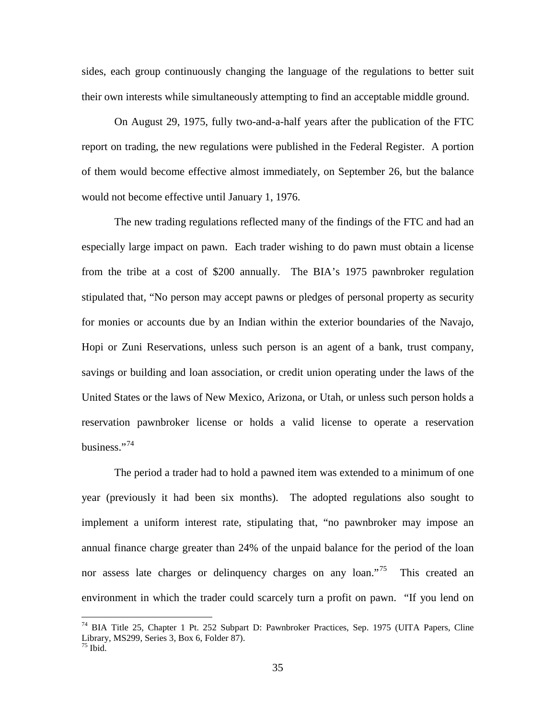sides, each group continuously changing the language of the regulations to better suit their own interests while simultaneously attempting to find an acceptable middle ground.

On August 29, 1975, fully two-and-a-half years after the publication of the FTC report on trading, the new regulations were published in the Federal Register. A portion of them would become effective almost immediately, on September 26, but the balance would not become effective until January 1, 1976.

The new trading regulations reflected many of the findings of the FTC and had an especially large impact on pawn. Each trader wishing to do pawn must obtain a license from the tribe at a cost of \$200 annually. The BIA's 1975 pawnbroker regulation stipulated that, "No person may accept pawns or pledges of personal property as security for monies or accounts due by an Indian within the exterior boundaries of the Navajo, Hopi or Zuni Reservations, unless such person is an agent of a bank, trust company, savings or building and loan association, or credit union operating under the laws of the United States or the laws of New Mexico, Arizona, or Utah, or unless such person holds a reservation pawnbroker license or holds a valid license to operate a reservation business."[74](#page-34-0)

The period a trader had to hold a pawned item was extended to a minimum of one year (previously it had been six months). The adopted regulations also sought to implement a uniform interest rate, stipulating that, "no pawnbroker may impose an annual finance charge greater than 24% of the unpaid balance for the period of the loan nor assess late charges or delinquency charges on any loan."<sup>[75](#page-34-1)</sup> This created an environment in which the trader could scarcely turn a profit on pawn. "If you lend on

<span id="page-34-1"></span><span id="page-34-0"></span> <sup>74</sup> BIA Title 25, Chapter 1 Pt. 252 Subpart D: Pawnbroker Practices, Sep. 1975 (UITA Papers, Cline Library, MS299, Series 3, Box 6, Folder 87).  $75$  Ibid.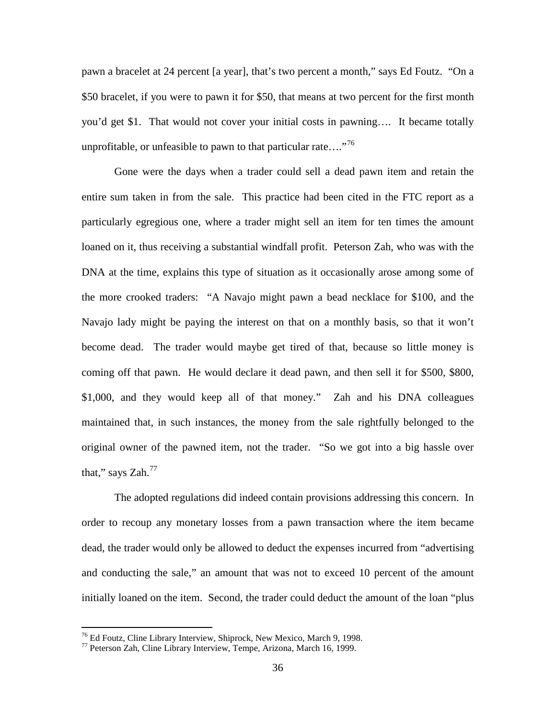pawn a bracelet at 24 percent [a year], that's two percent a month," says Ed Foutz. "On a \$50 bracelet, if you were to pawn it for \$50, that means at two percent for the first month you'd get \$1. That would not cover your initial costs in pawning…. It became totally unprofitable, or unfeasible to pawn to that particular rate...."<sup>[76](#page-35-0)</sup>

Gone were the days when a trader could sell a dead pawn item and retain the entire sum taken in from the sale. This practice had been cited in the FTC report as a particularly egregious one, where a trader might sell an item for ten times the amount loaned on it, thus receiving a substantial windfall profit. Peterson Zah, who was with the DNA at the time, explains this type of situation as it occasionally arose among some of the more crooked traders: "A Navajo might pawn a bead necklace for \$100, and the Navajo lady might be paying the interest on that on a monthly basis, so that it won't become dead. The trader would maybe get tired of that, because so little money is coming off that pawn. He would declare it dead pawn, and then sell it for \$500, \$800, \$1,000, and they would keep all of that money." Zah and his DNA colleagues maintained that, in such instances, the money from the sale rightfully belonged to the original owner of the pawned item, not the trader. "So we got into a big hassle over that," says Zah.<sup>[77](#page-35-1)</sup>

The adopted regulations did indeed contain provisions addressing this concern. In order to recoup any monetary losses from a pawn transaction where the item became dead, the trader would only be allowed to deduct the expenses incurred from "advertising and conducting the sale," an amount that was not to exceed 10 percent of the amount initially loaned on the item. Second, the trader could deduct the amount of the loan "plus

<span id="page-35-0"></span><sup>&</sup>lt;sup>76</sup> Ed Foutz, Cline Library Interview, Shiprock, New Mexico, March 9, 1998.<br><sup>77</sup> Peterson Zah, Cline Library Interview, Tempe, Arizona, March 16, 1999.

<span id="page-35-1"></span>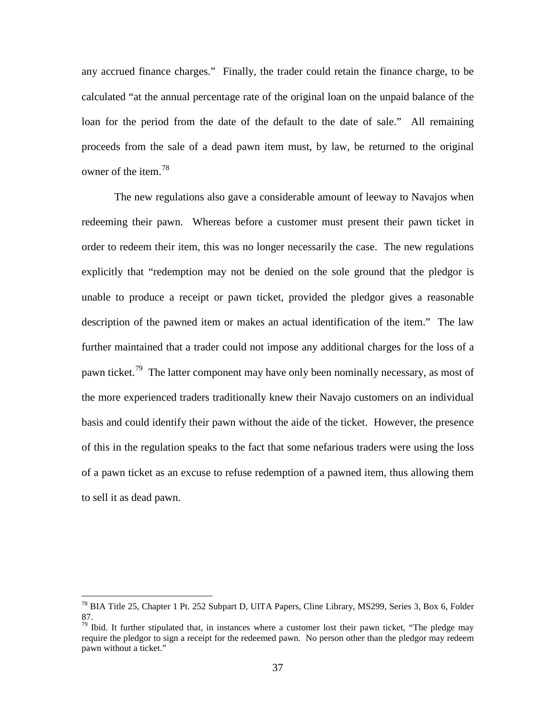any accrued finance charges." Finally, the trader could retain the finance charge, to be calculated "at the annual percentage rate of the original loan on the unpaid balance of the loan for the period from the date of the default to the date of sale." All remaining proceeds from the sale of a dead pawn item must, by law, be returned to the original owner of the item.<sup>[78](#page-36-0)</sup>

The new regulations also gave a considerable amount of leeway to Navajos when redeeming their pawn. Whereas before a customer must present their pawn ticket in order to redeem their item, this was no longer necessarily the case. The new regulations explicitly that "redemption may not be denied on the sole ground that the pledgor is unable to produce a receipt or pawn ticket, provided the pledgor gives a reasonable description of the pawned item or makes an actual identification of the item." The law further maintained that a trader could not impose any additional charges for the loss of a pawn ticket.<sup>[79](#page-36-1)</sup> The latter component may have only been nominally necessary, as most of the more experienced traders traditionally knew their Navajo customers on an individual basis and could identify their pawn without the aide of the ticket. However, the presence of this in the regulation speaks to the fact that some nefarious traders were using the loss of a pawn ticket as an excuse to refuse redemption of a pawned item, thus allowing them to sell it as dead pawn.

<span id="page-36-0"></span> <sup>78</sup> BIA Title 25, Chapter 1 Pt. 252 Subpart D, UITA Papers, Cline Library, MS299, Series 3, Box 6, Folder 87.

<span id="page-36-1"></span> $79$  Ibid. It further stipulated that, in instances where a customer lost their pawn ticket, "The pledge may require the pledgor to sign a receipt for the redeemed pawn. No person other than the pledgor may redeem pawn without a ticket."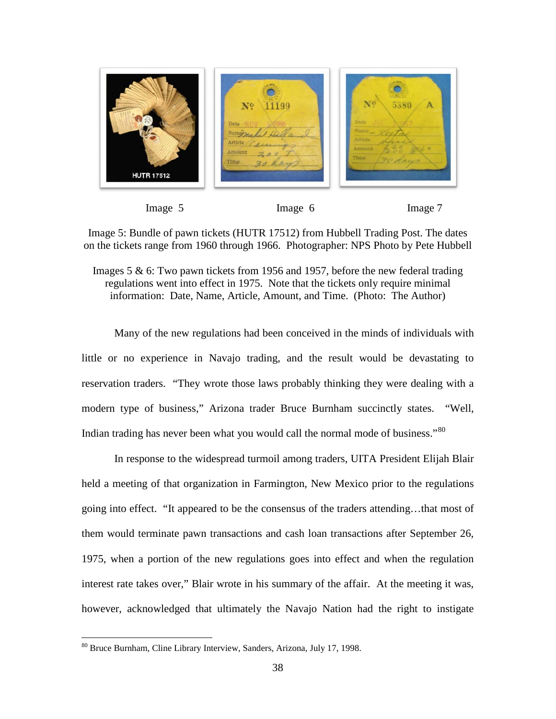

Image 5 Image 6 Image 7

Image 5: Bundle of pawn tickets (HUTR 17512) from Hubbell Trading Post. The dates on the tickets range from 1960 through 1966. Photographer: NPS Photo by Pete Hubbell

Images 5 & 6: Two pawn tickets from 1956 and 1957, before the new federal trading regulations went into effect in 1975. Note that the tickets only require minimal information: Date, Name, Article, Amount, and Time. (Photo: The Author)

Many of the new regulations had been conceived in the minds of individuals with little or no experience in Navajo trading, and the result would be devastating to reservation traders. "They wrote those laws probably thinking they were dealing with a modern type of business," Arizona trader Bruce Burnham succinctly states. "Well, Indian trading has never been what you would call the normal mode of business."<sup>[80](#page-37-0)</sup>

In response to the widespread turmoil among traders, UITA President Elijah Blair held a meeting of that organization in Farmington, New Mexico prior to the regulations going into effect. "It appeared to be the consensus of the traders attending…that most of them would terminate pawn transactions and cash loan transactions after September 26, 1975, when a portion of the new regulations goes into effect and when the regulation interest rate takes over," Blair wrote in his summary of the affair. At the meeting it was, however, acknowledged that ultimately the Navajo Nation had the right to instigate

<span id="page-37-0"></span> <sup>80</sup> Bruce Burnham, Cline Library Interview, Sanders, Arizona, July 17, 1998.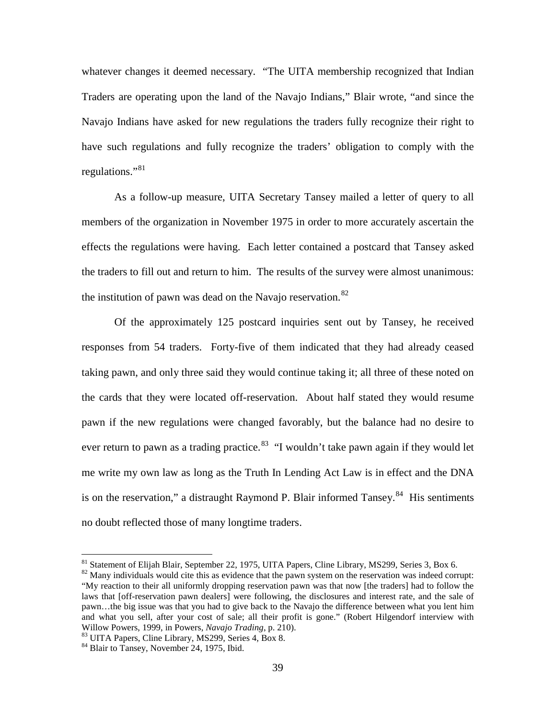whatever changes it deemed necessary. "The UITA membership recognized that Indian Traders are operating upon the land of the Navajo Indians," Blair wrote, "and since the Navajo Indians have asked for new regulations the traders fully recognize their right to have such regulations and fully recognize the traders' obligation to comply with the regulations."<sup>[81](#page-38-0)</sup>

As a follow-up measure, UITA Secretary Tansey mailed a letter of query to all members of the organization in November 1975 in order to more accurately ascertain the effects the regulations were having. Each letter contained a postcard that Tansey asked the traders to fill out and return to him. The results of the survey were almost unanimous: the institution of pawn was dead on the Navajo reservation.<sup>[82](#page-38-1)</sup>

Of the approximately 125 postcard inquiries sent out by Tansey, he received responses from 54 traders. Forty-five of them indicated that they had already ceased taking pawn, and only three said they would continue taking it; all three of these noted on the cards that they were located off-reservation. About half stated they would resume pawn if the new regulations were changed favorably, but the balance had no desire to ever return to pawn as a trading practice.<sup>83</sup> "I wouldn't take pawn again if they would let me write my own law as long as the Truth In Lending Act Law is in effect and the DNA is on the reservation," a distraught Raymond P. Blair informed Tansey.<sup>[84](#page-38-3)</sup> His sentiments no doubt reflected those of many longtime traders.

<span id="page-38-0"></span><sup>&</sup>lt;sup>81</sup> Statement of Elijah Blair, September 22, 1975, UITA Papers, Cline Library, MS299, Series 3, Box 6.

<span id="page-38-1"></span> $82$  Many individuals would cite this as evidence that the pawn system on the reservation was indeed corrupt: "My reaction to their all uniformly dropping reservation pawn was that now [the traders] had to follow the laws that [off-reservation pawn dealers] were following, the disclosures and interest rate, and the sale of pawn…the big issue was that you had to give back to the Navajo the difference between what you lent him and what you sell, after your cost of sale; all their profit is gone." (Robert Hilgendorf interview with Willow Powers, 1999, in Powers, *Navajo Trading*, p. 210).

<span id="page-38-2"></span><sup>&</sup>lt;sup>83</sup> UITA Papers, Cline Library, MS299, Series 4, Box 8. <sup>84</sup> Blair to Tansey, November 24, 1975, Ibid.

<span id="page-38-3"></span>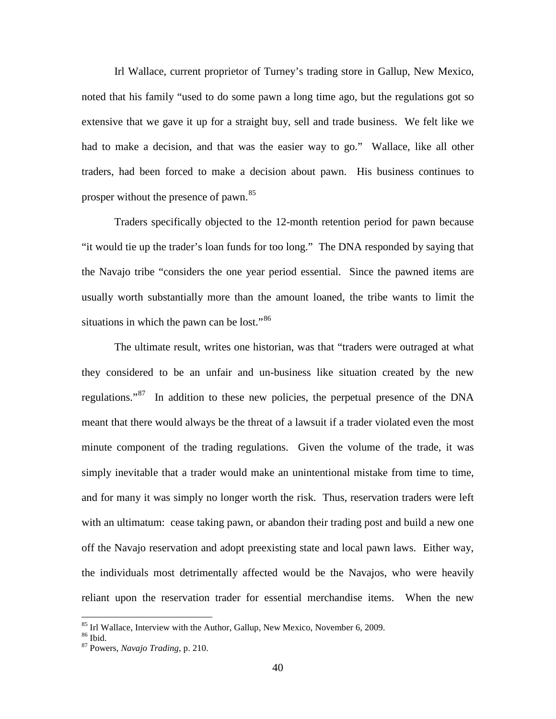Irl Wallace, current proprietor of Turney's trading store in Gallup, New Mexico, noted that his family "used to do some pawn a long time ago, but the regulations got so extensive that we gave it up for a straight buy, sell and trade business. We felt like we had to make a decision, and that was the easier way to go." Wallace, like all other traders, had been forced to make a decision about pawn. His business continues to prosper without the presence of pawn.<sup>[85](#page-39-0)</sup>

Traders specifically objected to the 12-month retention period for pawn because "it would tie up the trader's loan funds for too long." The DNA responded by saying that the Navajo tribe "considers the one year period essential. Since the pawned items are usually worth substantially more than the amount loaned, the tribe wants to limit the situations in which the pawn can be lost."<sup>[86](#page-39-1)</sup>

The ultimate result, writes one historian, was that "traders were outraged at what they considered to be an unfair and un-business like situation created by the new regulations."<sup>[87](#page-39-2)</sup> In addition to these new policies, the perpetual presence of the DNA meant that there would always be the threat of a lawsuit if a trader violated even the most minute component of the trading regulations. Given the volume of the trade, it was simply inevitable that a trader would make an unintentional mistake from time to time, and for many it was simply no longer worth the risk. Thus, reservation traders were left with an ultimatum: cease taking pawn, or abandon their trading post and build a new one off the Navajo reservation and adopt preexisting state and local pawn laws. Either way, the individuals most detrimentally affected would be the Navajos, who were heavily reliant upon the reservation trader for essential merchandise items. When the new

<span id="page-39-0"></span> $85$  Irl Wallace, Interview with the Author, Gallup, New Mexico, November 6, 2009.<br> $86$  Ibid

<span id="page-39-1"></span>

<span id="page-39-2"></span><sup>&</sup>lt;sup>87</sup> Powers, *Navajo Trading*, p. 210.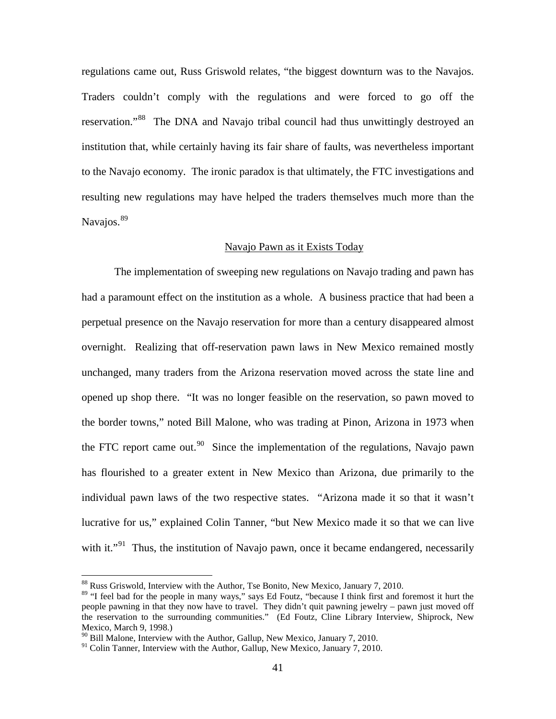regulations came out, Russ Griswold relates, "the biggest downturn was to the Navajos. Traders couldn't comply with the regulations and were forced to go off the reservation."<sup>[88](#page-40-0)</sup> The DNA and Navajo tribal council had thus unwittingly destroyed an institution that, while certainly having its fair share of faults, was nevertheless important to the Navajo economy. The ironic paradox is that ultimately, the FTC investigations and resulting new regulations may have helped the traders themselves much more than the Navajos.<sup>[89](#page-40-1)</sup>

#### Navajo Pawn as it Exists Today

The implementation of sweeping new regulations on Navajo trading and pawn has had a paramount effect on the institution as a whole. A business practice that had been a perpetual presence on the Navajo reservation for more than a century disappeared almost overnight. Realizing that off-reservation pawn laws in New Mexico remained mostly unchanged, many traders from the Arizona reservation moved across the state line and opened up shop there. "It was no longer feasible on the reservation, so pawn moved to the border towns," noted Bill Malone, who was trading at Pinon, Arizona in 1973 when the FTC report came out.<sup>[90](#page-40-2)</sup> Since the implementation of the regulations, Navajo pawn has flourished to a greater extent in New Mexico than Arizona, due primarily to the individual pawn laws of the two respective states. "Arizona made it so that it wasn't lucrative for us," explained Colin Tanner, "but New Mexico made it so that we can live with it."<sup>[91](#page-40-3)</sup> Thus, the institution of Navajo pawn, once it became endangered, necessarily

<span id="page-40-0"></span> <sup>88</sup> Russ Griswold, Interview with the Author, Tse Bonito, New Mexico, January 7, 2010.

<span id="page-40-1"></span><sup>&</sup>lt;sup>89</sup> "I feel bad for the people in many ways," says Ed Foutz, "because I think first and foremost it hurt the people pawning in that they now have to travel. They didn't quit pawning jewelry – pawn just moved off the reservation to the surrounding communities." (Ed Foutz, Cline Library Interview, Shiprock, New Mexico, March 9, 1998.)

<span id="page-40-2"></span> $90$  Bill Malone, Interview with the Author, Gallup, New Mexico, January 7, 2010.

<span id="page-40-3"></span> $91$  Colin Tanner, Interview with the Author, Gallup, New Mexico, January 7, 2010.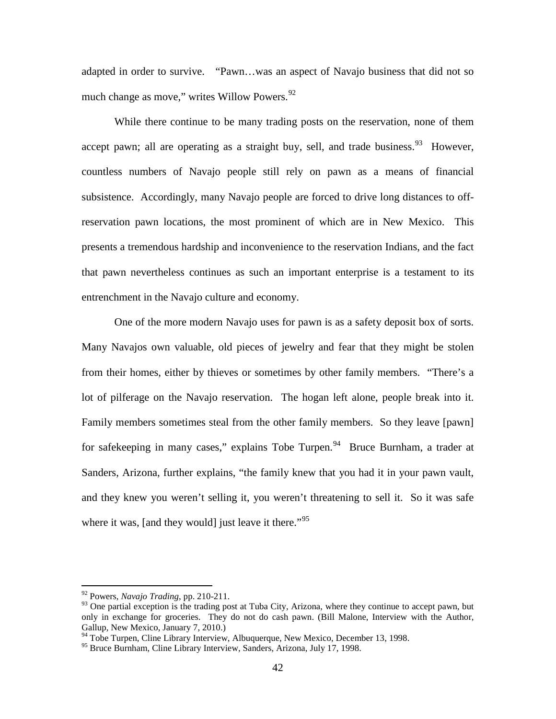adapted in order to survive. "Pawn…was an aspect of Navajo business that did not so much change as move," writes Willow Powers.<sup>[92](#page-41-0)</sup>

While there continue to be many trading posts on the reservation, none of them accept pawn; all are operating as a straight buy, sell, and trade business.<sup>[93](#page-41-1)</sup> However, countless numbers of Navajo people still rely on pawn as a means of financial subsistence. Accordingly, many Navajo people are forced to drive long distances to offreservation pawn locations, the most prominent of which are in New Mexico. This presents a tremendous hardship and inconvenience to the reservation Indians, and the fact that pawn nevertheless continues as such an important enterprise is a testament to its entrenchment in the Navajo culture and economy.

One of the more modern Navajo uses for pawn is as a safety deposit box of sorts. Many Navajos own valuable, old pieces of jewelry and fear that they might be stolen from their homes, either by thieves or sometimes by other family members. "There's a lot of pilferage on the Navajo reservation. The hogan left alone, people break into it. Family members sometimes steal from the other family members. So they leave [pawn] for safekeeping in many cases," explains Tobe Turpen.<sup>[94](#page-41-2)</sup> Bruce Burnham, a trader at Sanders, Arizona, further explains, "the family knew that you had it in your pawn vault, and they knew you weren't selling it, you weren't threatening to sell it. So it was safe where it was, [and they would] just leave it there."<sup>[95](#page-41-3)</sup>

 <sup>92</sup> Powers, *Navajo Trading*, pp. 210-211.

<span id="page-41-1"></span><span id="page-41-0"></span><sup>&</sup>lt;sup>93</sup> One partial exception is the trading post at Tuba City, Arizona, where they continue to accept pawn, but only in exchange for groceries. They do not do cash pawn. (Bill Malone, Interview with the Author, Gallup, New Mexico, January 7, 2010.)

<span id="page-41-2"></span><sup>&</sup>lt;sup>94</sup> Tobe Turpen, Cline Library Interview, Albuquerque, New Mexico, December 13, 1998.

<span id="page-41-3"></span><sup>&</sup>lt;sup>95</sup> Bruce Burnham, Cline Library Interview, Sanders, Arizona, July 17, 1998.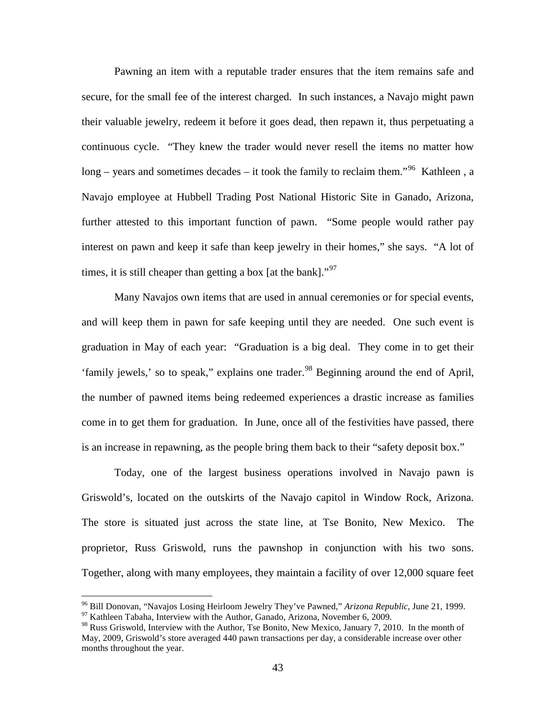Pawning an item with a reputable trader ensures that the item remains safe and secure, for the small fee of the interest charged. In such instances, a Navajo might pawn their valuable jewelry, redeem it before it goes dead, then repawn it, thus perpetuating a continuous cycle. "They knew the trader would never resell the items no matter how  $long - years$  and sometimes decades – it took the family to reclaim them."<sup>96</sup> Kathleen, a Navajo employee at Hubbell Trading Post National Historic Site in Ganado, Arizona, further attested to this important function of pawn. "Some people would rather pay interest on pawn and keep it safe than keep jewelry in their homes," she says. "A lot of times, it is still cheaper than getting a box [at the bank]."<sup>[97](#page-42-1)</sup>

Many Navajos own items that are used in annual ceremonies or for special events, and will keep them in pawn for safe keeping until they are needed. One such event is graduation in May of each year: "Graduation is a big deal. They come in to get their 'family jewels,' so to speak," explains one trader.<sup>[98](#page-42-2)</sup> Beginning around the end of April, the number of pawned items being redeemed experiences a drastic increase as families come in to get them for graduation. In June, once all of the festivities have passed, there is an increase in repawning, as the people bring them back to their "safety deposit box."

Today, one of the largest business operations involved in Navajo pawn is Griswold's, located on the outskirts of the Navajo capitol in Window Rock, Arizona. The store is situated just across the state line, at Tse Bonito, New Mexico. The proprietor, Russ Griswold, runs the pawnshop in conjunction with his two sons. Together, along with many employees, they maintain a facility of over 12,000 square feet

<span id="page-42-0"></span><sup>&</sup>lt;sup>96</sup> Bill Donovan, "Navajos Losing Heirloom Jewelry They've Pawned," *Arizona Republic*, June 21, 1999.<br><sup>97</sup> Kathleen Tabaha, Interview with the Author, Ganado, Arizona, November 6, 2009.

<span id="page-42-2"></span><span id="page-42-1"></span><sup>&</sup>lt;sup>98</sup> Russ Griswold, Interview with the Author, Tse Bonito, New Mexico, January 7, 2010. In the month of May, 2009, Griswold's store averaged 440 pawn transactions per day, a considerable increase over other months throughout the year.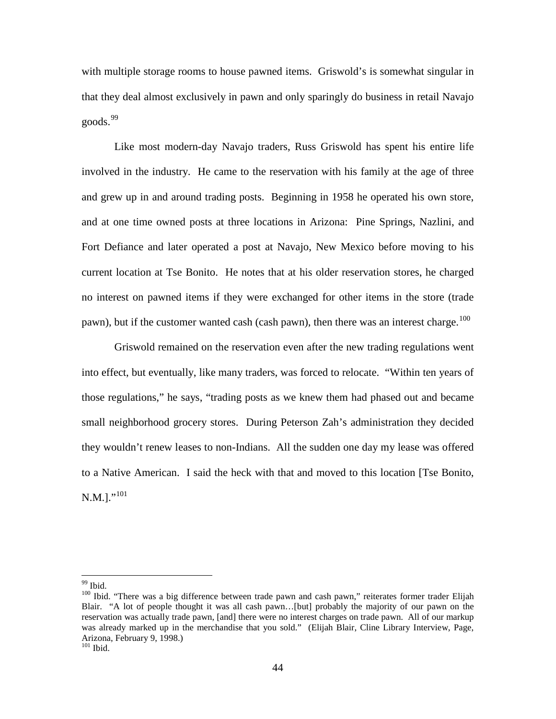with multiple storage rooms to house pawned items. Griswold's is somewhat singular in that they deal almost exclusively in pawn and only sparingly do business in retail Navajo goods. [99](#page-43-0)

Like most modern-day Navajo traders, Russ Griswold has spent his entire life involved in the industry. He came to the reservation with his family at the age of three and grew up in and around trading posts. Beginning in 1958 he operated his own store, and at one time owned posts at three locations in Arizona: Pine Springs, Nazlini, and Fort Defiance and later operated a post at Navajo, New Mexico before moving to his current location at Tse Bonito. He notes that at his older reservation stores, he charged no interest on pawned items if they were exchanged for other items in the store (trade pawn), but if the customer wanted cash (cash pawn), then there was an interest charge.<sup>[100](#page-43-1)</sup>

Griswold remained on the reservation even after the new trading regulations went into effect, but eventually, like many traders, was forced to relocate. "Within ten years of those regulations," he says, "trading posts as we knew them had phased out and became small neighborhood grocery stores. During Peterson Zah's administration they decided they wouldn't renew leases to non-Indians. All the sudden one day my lease was offered to a Native American. I said the heck with that and moved to this location [Tse Bonito, N.M.]."<sup>[101](#page-43-2)</sup>

<span id="page-43-2"></span>

<span id="page-43-1"></span><span id="page-43-0"></span><sup>&</sup>lt;sup>99</sup> Ibid.<br><sup>100</sup> Ibid. "There was a big difference between trade pawn and cash pawn," reiterates former trader Elijah Blair. "A lot of people thought it was all cash pawn…[but] probably the majority of our pawn on the reservation was actually trade pawn, [and] there were no interest charges on trade pawn. All of our markup was already marked up in the merchandise that you sold." (Elijah Blair, Cline Library Interview, Page, Arizona, February 9, 1998.)<br><sup>101</sup> Ibid.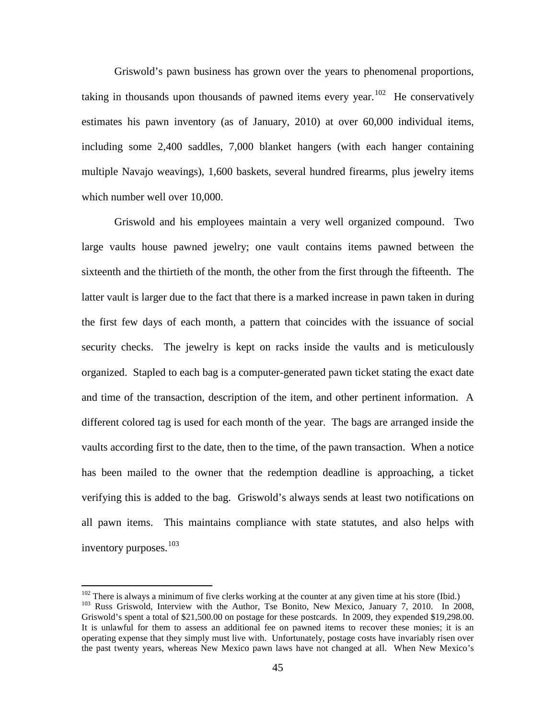Griswold's pawn business has grown over the years to phenomenal proportions, taking in thousands upon thousands of pawned items every year.<sup>[102](#page-44-0)</sup> He conservatively estimates his pawn inventory (as of January, 2010) at over 60,000 individual items, including some 2,400 saddles, 7,000 blanket hangers (with each hanger containing multiple Navajo weavings), 1,600 baskets, several hundred firearms, plus jewelry items which number well over 10,000.

Griswold and his employees maintain a very well organized compound. Two large vaults house pawned jewelry; one vault contains items pawned between the sixteenth and the thirtieth of the month, the other from the first through the fifteenth. The latter vault is larger due to the fact that there is a marked increase in pawn taken in during the first few days of each month, a pattern that coincides with the issuance of social security checks. The jewelry is kept on racks inside the vaults and is meticulously organized. Stapled to each bag is a computer-generated pawn ticket stating the exact date and time of the transaction, description of the item, and other pertinent information. A different colored tag is used for each month of the year. The bags are arranged inside the vaults according first to the date, then to the time, of the pawn transaction. When a notice has been mailed to the owner that the redemption deadline is approaching, a ticket verifying this is added to the bag. Griswold's always sends at least two notifications on all pawn items. This maintains compliance with state statutes, and also helps with inventory purposes. [103](#page-44-1)

<span id="page-44-1"></span><span id="page-44-0"></span><sup>&</sup>lt;sup>102</sup> There is always a minimum of five clerks working at the counter at any given time at his store (Ibid.) <sup>103</sup> Russ Griswold, Interview with the Author, Tse Bonito, New Mexico, January 7, 2010. In 2008, Griswold's spent a total of \$21,500.00 on postage for these postcards. In 2009, they expended \$19,298.00. It is unlawful for them to assess an additional fee on pawned items to recover these monies; it is an operating expense that they simply must live with. Unfortunately, postage costs have invariably risen over the past twenty years, whereas New Mexico pawn laws have not changed at all. When New Mexico's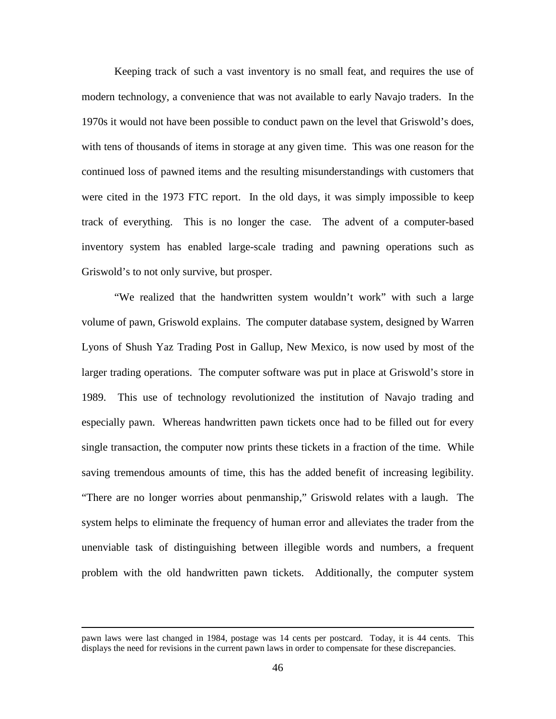Keeping track of such a vast inventory is no small feat, and requires the use of modern technology, a convenience that was not available to early Navajo traders. In the 1970s it would not have been possible to conduct pawn on the level that Griswold's does, with tens of thousands of items in storage at any given time. This was one reason for the continued loss of pawned items and the resulting misunderstandings with customers that were cited in the 1973 FTC report. In the old days, it was simply impossible to keep track of everything. This is no longer the case. The advent of a computer-based inventory system has enabled large-scale trading and pawning operations such as Griswold's to not only survive, but prosper.

"We realized that the handwritten system wouldn't work" with such a large volume of pawn, Griswold explains. The computer database system, designed by Warren Lyons of Shush Yaz Trading Post in Gallup, New Mexico, is now used by most of the larger trading operations. The computer software was put in place at Griswold's store in 1989. This use of technology revolutionized the institution of Navajo trading and especially pawn. Whereas handwritten pawn tickets once had to be filled out for every single transaction, the computer now prints these tickets in a fraction of the time. While saving tremendous amounts of time, this has the added benefit of increasing legibility. "There are no longer worries about penmanship," Griswold relates with a laugh. The system helps to eliminate the frequency of human error and alleviates the trader from the unenviable task of distinguishing between illegible words and numbers, a frequent problem with the old handwritten pawn tickets. Additionally, the computer system

 $\overline{a}$ 

pawn laws were last changed in 1984, postage was 14 cents per postcard. Today, it is 44 cents. This displays the need for revisions in the current pawn laws in order to compensate for these discrepancies.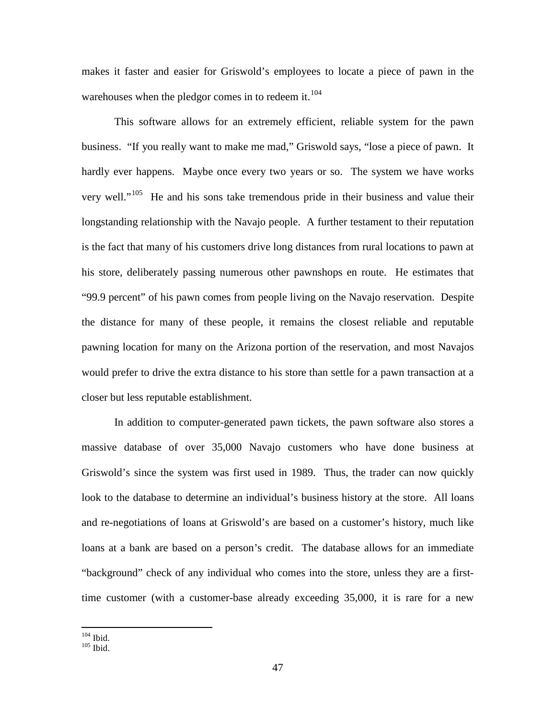makes it faster and easier for Griswold's employees to locate a piece of pawn in the warehouses when the pledgor comes in to redeem it. $104$ 

This software allows for an extremely efficient, reliable system for the pawn business. "If you really want to make me mad," Griswold says, "lose a piece of pawn. It hardly ever happens. Maybe once every two years or so. The system we have works very well."<sup>[105](#page-46-1)</sup> He and his sons take tremendous pride in their business and value their longstanding relationship with the Navajo people. A further testament to their reputation is the fact that many of his customers drive long distances from rural locations to pawn at his store, deliberately passing numerous other pawnshops en route. He estimates that "99.9 percent" of his pawn comes from people living on the Navajo reservation. Despite the distance for many of these people, it remains the closest reliable and reputable pawning location for many on the Arizona portion of the reservation, and most Navajos would prefer to drive the extra distance to his store than settle for a pawn transaction at a closer but less reputable establishment.

In addition to computer-generated pawn tickets, the pawn software also stores a massive database of over 35,000 Navajo customers who have done business at Griswold's since the system was first used in 1989. Thus, the trader can now quickly look to the database to determine an individual's business history at the store. All loans and re-negotiations of loans at Griswold's are based on a customer's history, much like loans at a bank are based on a person's credit. The database allows for an immediate "background" check of any individual who comes into the store, unless they are a firsttime customer (with a customer-base already exceeding 35,000, it is rare for a new

<span id="page-46-1"></span><span id="page-46-0"></span> $104$  Ibid.<br> 105 Ibid.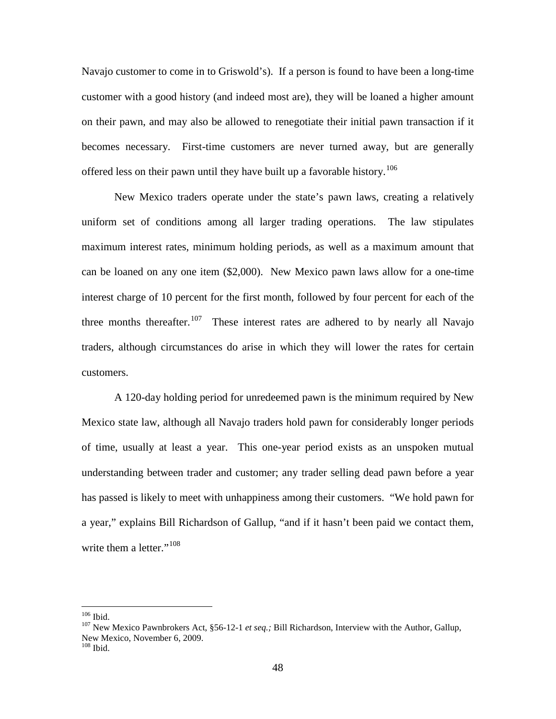Navajo customer to come in to Griswold's). If a person is found to have been a long-time customer with a good history (and indeed most are), they will be loaned a higher amount on their pawn, and may also be allowed to renegotiate their initial pawn transaction if it becomes necessary. First-time customers are never turned away, but are generally offered less on their pawn until they have built up a favorable history.<sup>[106](#page-47-0)</sup>

New Mexico traders operate under the state's pawn laws, creating a relatively uniform set of conditions among all larger trading operations. The law stipulates maximum interest rates, minimum holding periods, as well as a maximum amount that can be loaned on any one item (\$2,000). New Mexico pawn laws allow for a one-time interest charge of 10 percent for the first month, followed by four percent for each of the three months thereafter.<sup>[107](#page-47-1)</sup> These interest rates are adhered to by nearly all Navajo traders, although circumstances do arise in which they will lower the rates for certain customers.

A 120-day holding period for unredeemed pawn is the minimum required by New Mexico state law, although all Navajo traders hold pawn for considerably longer periods of time, usually at least a year. This one-year period exists as an unspoken mutual understanding between trader and customer; any trader selling dead pawn before a year has passed is likely to meet with unhappiness among their customers. "We hold pawn for a year," explains Bill Richardson of Gallup, "and if it hasn't been paid we contact them, write them a letter."<sup>[108](#page-47-2)</sup>

<span id="page-47-0"></span> <sup>106</sup> Ibid.

<span id="page-47-1"></span><sup>107</sup> New Mexico Pawnbrokers Act, §56-12-1 *et seq.;* Bill Richardson, Interview with the Author, Gallup, New Mexico, November 6, 2009.

<span id="page-47-2"></span><sup>108</sup> Ibid.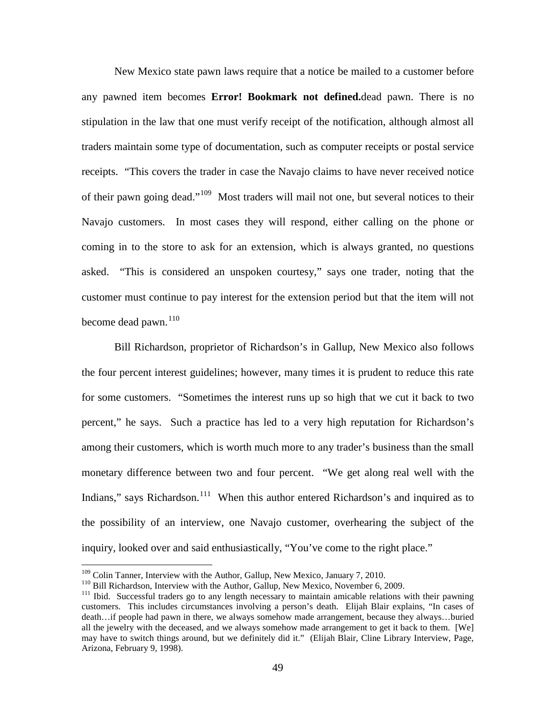New Mexico state pawn laws require that a notice be mailed to a customer before any pawned item becomes **Error! Bookmark not defined.**dead pawn. There is no stipulation in the law that one must verify receipt of the notification, although almost all traders maintain some type of documentation, such as computer receipts or postal service receipts. "This covers the trader in case the Navajo claims to have never received notice of their pawn going dead."[109](#page-48-0) Most traders will mail not one, but several notices to their Navajo customers. In most cases they will respond, either calling on the phone or coming in to the store to ask for an extension, which is always granted, no questions asked. "This is considered an unspoken courtesy," says one trader, noting that the customer must continue to pay interest for the extension period but that the item will not become dead pawn. $110$ 

Bill Richardson, proprietor of Richardson's in Gallup, New Mexico also follows the four percent interest guidelines; however, many times it is prudent to reduce this rate for some customers. "Sometimes the interest runs up so high that we cut it back to two percent," he says. Such a practice has led to a very high reputation for Richardson's among their customers, which is worth much more to any trader's business than the small monetary difference between two and four percent. "We get along real well with the Indians," says Richardson.<sup>[111](#page-48-2)</sup> When this author entered Richardson's and inquired as to the possibility of an interview, one Navajo customer, overhearing the subject of the inquiry, looked over and said enthusiastically, "You've come to the right place."

<span id="page-48-0"></span><sup>&</sup>lt;sup>109</sup> Colin Tanner, Interview with the Author, Gallup, New Mexico, January 7, 2010.<br><sup>110</sup> Bill Richardson, Interview with the Author, Gallup, New Mexico, November 6, 2009.

<span id="page-48-2"></span><span id="page-48-1"></span><sup>&</sup>lt;sup>111</sup> Ibid. Successful traders go to any length necessary to maintain amicable relations with their pawning customers. This includes circumstances involving a person's death. Elijah Blair explains, "In cases of death…if people had pawn in there, we always somehow made arrangement, because they always…buried all the jewelry with the deceased, and we always somehow made arrangement to get it back to them. [We] may have to switch things around, but we definitely did it." (Elijah Blair, Cline Library Interview, Page, Arizona, February 9, 1998).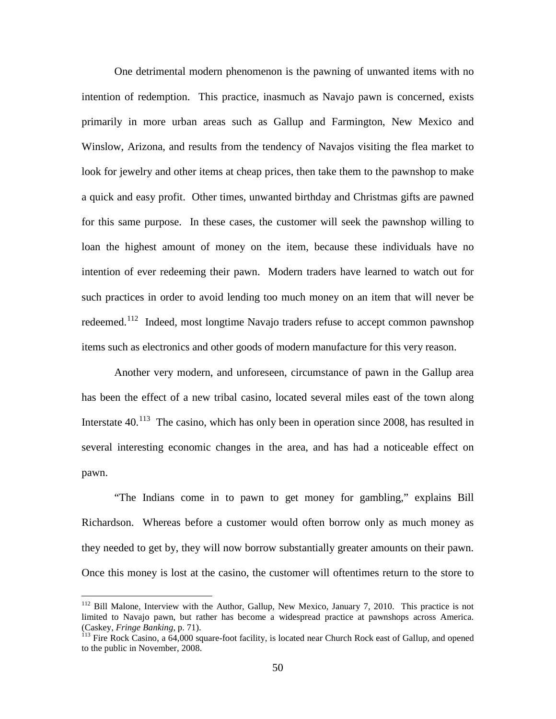One detrimental modern phenomenon is the pawning of unwanted items with no intention of redemption. This practice, inasmuch as Navajo pawn is concerned, exists primarily in more urban areas such as Gallup and Farmington, New Mexico and Winslow, Arizona, and results from the tendency of Navajos visiting the flea market to look for jewelry and other items at cheap prices, then take them to the pawnshop to make a quick and easy profit. Other times, unwanted birthday and Christmas gifts are pawned for this same purpose. In these cases, the customer will seek the pawnshop willing to loan the highest amount of money on the item, because these individuals have no intention of ever redeeming their pawn. Modern traders have learned to watch out for such practices in order to avoid lending too much money on an item that will never be redeemed.<sup>[112](#page-49-0)</sup> Indeed, most longtime Navajo traders refuse to accept common pawnshop items such as electronics and other goods of modern manufacture for this very reason.

Another very modern, and unforeseen, circumstance of pawn in the Gallup area has been the effect of a new tribal casino, located several miles east of the town along Interstate  $40$ .<sup>[113](#page-49-1)</sup> The casino, which has only been in operation since 2008, has resulted in several interesting economic changes in the area, and has had a noticeable effect on pawn.

"The Indians come in to pawn to get money for gambling," explains Bill Richardson. Whereas before a customer would often borrow only as much money as they needed to get by, they will now borrow substantially greater amounts on their pawn. Once this money is lost at the casino, the customer will oftentimes return to the store to

<span id="page-49-0"></span><sup>&</sup>lt;sup>112</sup> Bill Malone, Interview with the Author, Gallup, New Mexico, January 7, 2010. This practice is not limited to Navajo pawn, but rather has become a widespread practice at pawnshops across America. (Caskey, *Fringe Banking*, p. 71).<br><sup>113</sup> Fire Rock Casino, a 64,000 square-foot facility, is located near Church Rock east of Gallup, and opened

<span id="page-49-1"></span>to the public in November, 2008.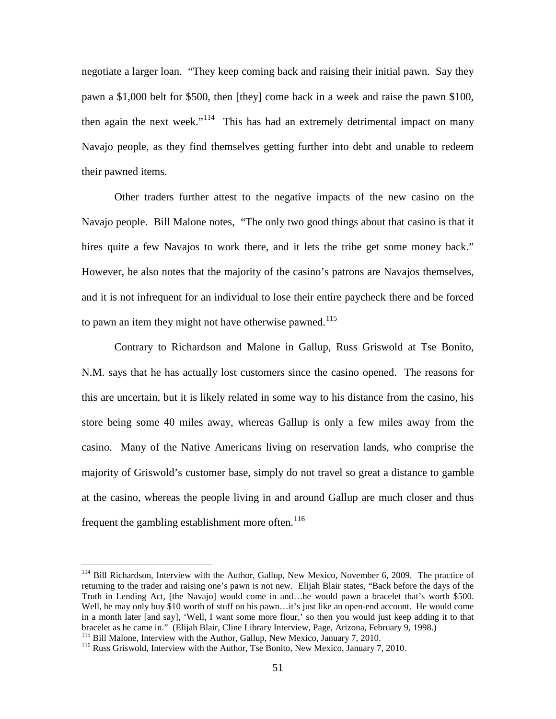negotiate a larger loan. "They keep coming back and raising their initial pawn. Say they pawn a \$1,000 belt for \$500, then [they] come back in a week and raise the pawn \$100, then again the next week."<sup>[114](#page-50-0)</sup> This has had an extremely detrimental impact on many Navajo people, as they find themselves getting further into debt and unable to redeem their pawned items.

Other traders further attest to the negative impacts of the new casino on the Navajo people. Bill Malone notes, "The only two good things about that casino is that it hires quite a few Navajos to work there, and it lets the tribe get some money back." However, he also notes that the majority of the casino's patrons are Navajos themselves, and it is not infrequent for an individual to lose their entire paycheck there and be forced to pawn an item they might not have otherwise pawned.<sup>[115](#page-50-1)</sup>

Contrary to Richardson and Malone in Gallup, Russ Griswold at Tse Bonito, N.M. says that he has actually lost customers since the casino opened. The reasons for this are uncertain, but it is likely related in some way to his distance from the casino, his store being some 40 miles away, whereas Gallup is only a few miles away from the casino. Many of the Native Americans living on reservation lands, who comprise the majority of Griswold's customer base, simply do not travel so great a distance to gamble at the casino, whereas the people living in and around Gallup are much closer and thus frequent the gambling establishment more often. $116$ 

<span id="page-50-0"></span><sup>&</sup>lt;sup>114</sup> Bill Richardson, Interview with the Author, Gallup, New Mexico, November 6, 2009. The practice of returning to the trader and raising one's pawn is not new. Elijah Blair states, "Back before the days of the Truth in Lending Act, [the Navajo] would come in and…he would pawn a bracelet that's worth \$500. Well, he may only buy \$10 worth of stuff on his pawn...it's just like an open-end account. He would come in a month later [and say], 'Well, I want some more flour,' so then you would just keep adding it to that bracelet as he came in." (Elijah Blair, Cline Library Interview, Page, Arizona, February 9, 1998.)<br><sup>115</sup> Bill Malone, Interview with the Author, Gallup, New Mexico, January 7, 2010.<br><sup>116</sup> Russ Griswold, Interview with the

<span id="page-50-2"></span><span id="page-50-1"></span>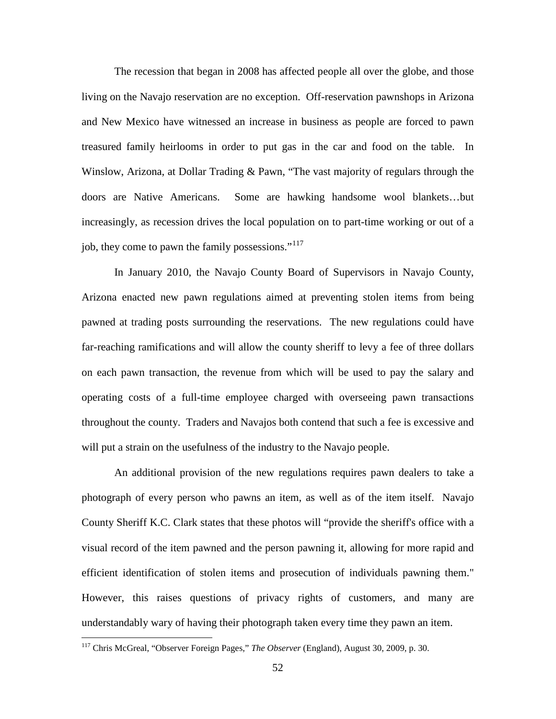The recession that began in 2008 has affected people all over the globe, and those living on the Navajo reservation are no exception. Off-reservation pawnshops in Arizona and New Mexico have witnessed an increase in business as people are forced to pawn treasured family heirlooms in order to put gas in the car and food on the table. In Winslow, Arizona, at Dollar Trading & Pawn, "The vast majority of regulars through the doors are Native Americans. Some are hawking handsome wool blankets…but increasingly, as recession drives the local population on to part-time working or out of a job, they come to pawn the family possessions."<sup>[117](#page-51-0)</sup>

In January 2010, the Navajo County Board of Supervisors in Navajo County, Arizona enacted new pawn regulations aimed at preventing stolen items from being pawned at trading posts surrounding the reservations. The new regulations could have far-reaching ramifications and will allow the county sheriff to levy a fee of three dollars on each pawn transaction, the revenue from which will be used to pay the salary and operating costs of a full-time employee charged with overseeing pawn transactions throughout the county. Traders and Navajos both contend that such a fee is excessive and will put a strain on the usefulness of the industry to the Navajo people.

An additional provision of the new regulations requires pawn dealers to take a photograph of every person who pawns an item, as well as of the item itself. Navajo County Sheriff K.C. Clark states that these photos will "provide the sheriff's office with a visual record of the item pawned and the person pawning it, allowing for more rapid and efficient identification of stolen items and prosecution of individuals pawning them." However, this raises questions of privacy rights of customers, and many are understandably wary of having their photograph taken every time they pawn an item.

<span id="page-51-0"></span> <sup>117</sup> Chris McGreal, "Observer Foreign Pages," *The Observer* (England), August 30, 2009, p. 30.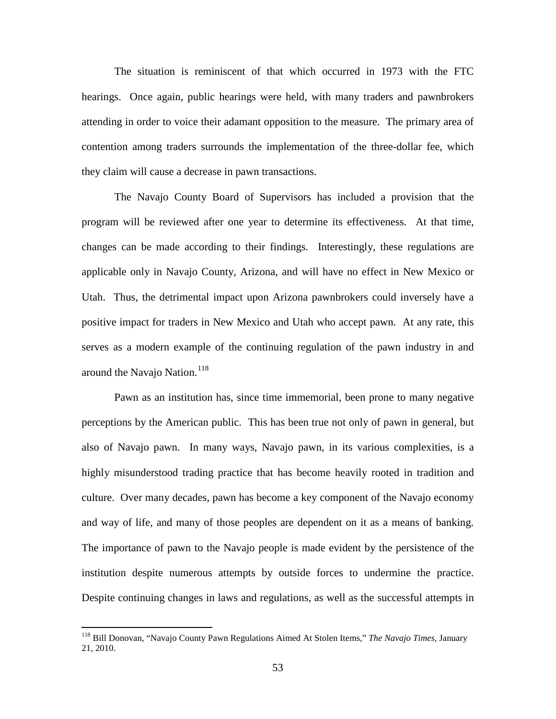The situation is reminiscent of that which occurred in 1973 with the FTC hearings. Once again, public hearings were held, with many traders and pawnbrokers attending in order to voice their adamant opposition to the measure. The primary area of contention among traders surrounds the implementation of the three-dollar fee, which they claim will cause a decrease in pawn transactions.

The Navajo County Board of Supervisors has included a provision that the program will be reviewed after one year to determine its effectiveness. At that time, changes can be made according to their findings. Interestingly, these regulations are applicable only in Navajo County, Arizona, and will have no effect in New Mexico or Utah. Thus, the detrimental impact upon Arizona pawnbrokers could inversely have a positive impact for traders in New Mexico and Utah who accept pawn. At any rate, this serves as a modern example of the continuing regulation of the pawn industry in and around the Navajo Nation.<sup>[118](#page-52-0)</sup>

Pawn as an institution has, since time immemorial, been prone to many negative perceptions by the American public. This has been true not only of pawn in general, but also of Navajo pawn. In many ways, Navajo pawn, in its various complexities, is a highly misunderstood trading practice that has become heavily rooted in tradition and culture. Over many decades, pawn has become a key component of the Navajo economy and way of life, and many of those peoples are dependent on it as a means of banking. The importance of pawn to the Navajo people is made evident by the persistence of the institution despite numerous attempts by outside forces to undermine the practice. Despite continuing changes in laws and regulations, as well as the successful attempts in

<span id="page-52-0"></span> <sup>118</sup> Bill Donovan, "Navajo County Pawn Regulations Aimed At Stolen Items," *The Navajo Times*, January 21, 2010.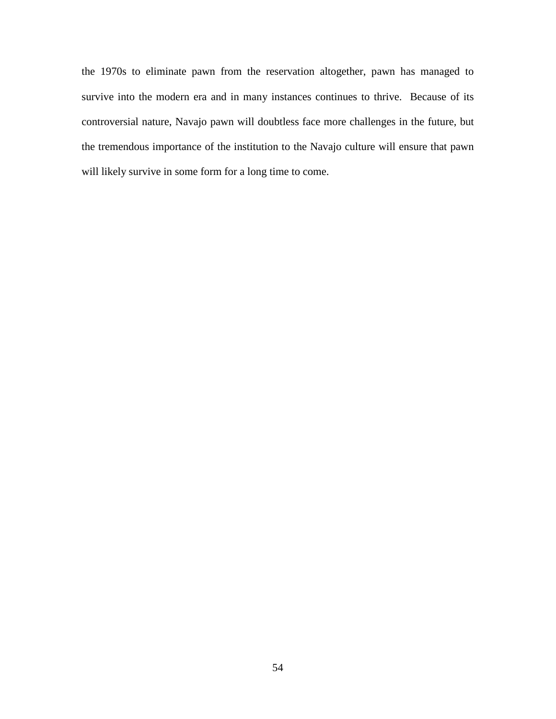the 1970s to eliminate pawn from the reservation altogether, pawn has managed to survive into the modern era and in many instances continues to thrive. Because of its controversial nature, Navajo pawn will doubtless face more challenges in the future, but the tremendous importance of the institution to the Navajo culture will ensure that pawn will likely survive in some form for a long time to come.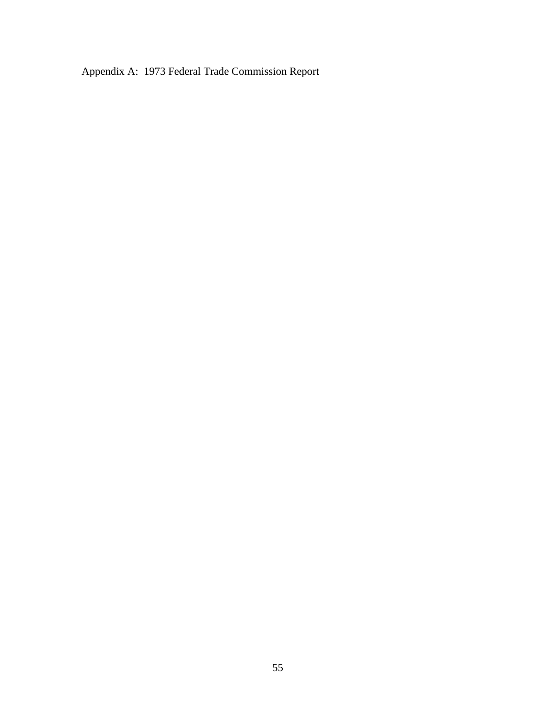Appendix A: 1973 Federal Trade Commission Report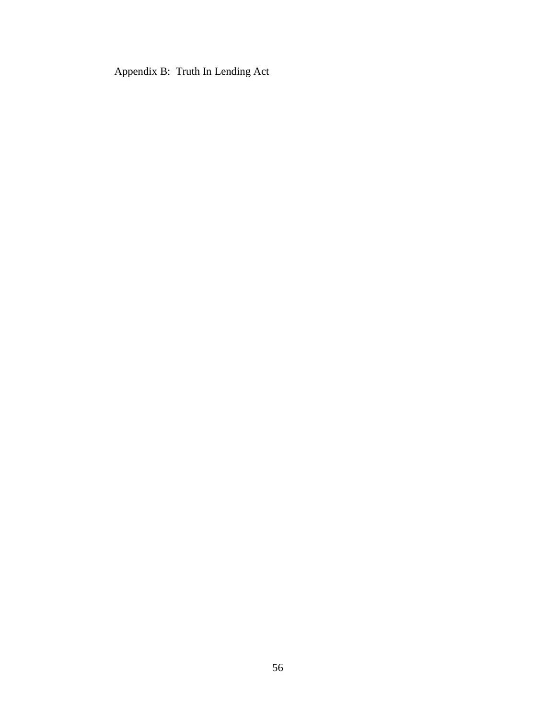Appendix B: Truth In Lending Act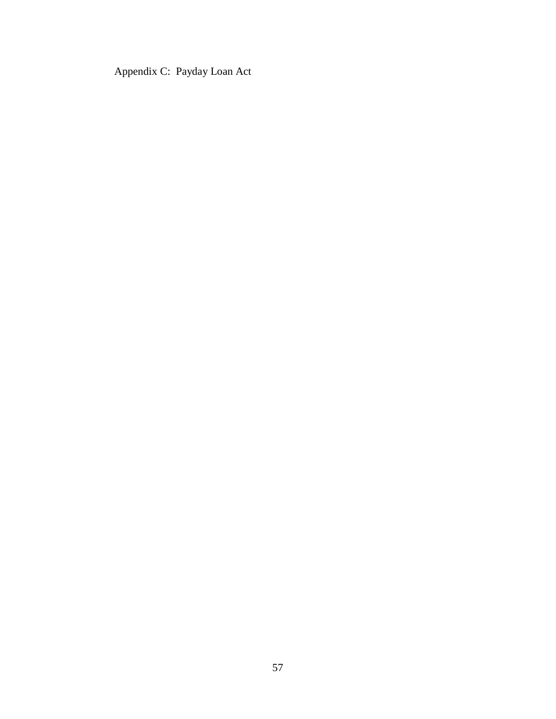Appendix C: Payday Loan Act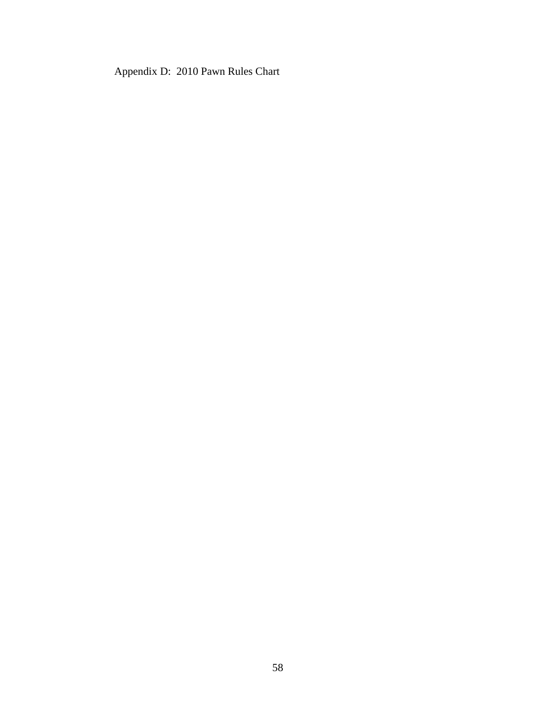Appendix D: 2010 Pawn Rules Chart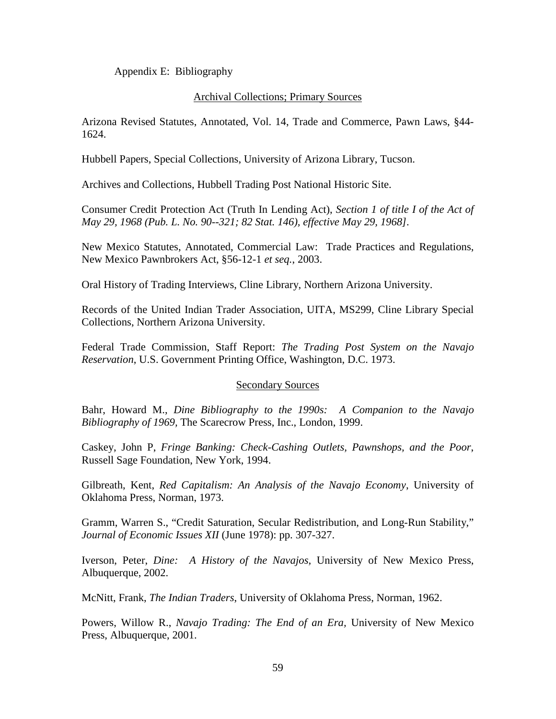Appendix E: Bibliography

# Archival Collections; Primary Sources

Arizona Revised Statutes, Annotated, Vol. 14, Trade and Commerce, Pawn Laws, §44- 1624.

Hubbell Papers, Special Collections, University of Arizona Library, Tucson.

Archives and Collections, Hubbell Trading Post National Historic Site.

Consumer Credit Protection Act (Truth In Lending Act), *Section 1 of title I of the Act of May 29, 1968 (Pub. L. No. 90--321; 82 Stat. 146), effective May 29, 1968].*

New Mexico Statutes, Annotated, Commercial Law: Trade Practices and Regulations, New Mexico Pawnbrokers Act, §56-12-1 *et seq.*, 2003.

Oral History of Trading Interviews, Cline Library, Northern Arizona University.

Records of the United Indian Trader Association, UITA, MS299, Cline Library Special Collections, Northern Arizona University.

Federal Trade Commission, Staff Report: *The Trading Post System on the Navajo Reservation*, U.S. Government Printing Office, Washington, D.C. 1973.

#### Secondary Sources

Bahr, Howard M., *Dine Bibliography to the 1990s: A Companion to the Navajo Bibliography of 1969,* The Scarecrow Press, Inc., London, 1999.

Caskey, John P, *Fringe Banking: Check-Cashing Outlets, Pawnshops, and the Poor*, Russell Sage Foundation, New York, 1994.

Gilbreath, Kent, *Red Capitalism: An Analysis of the Navajo Economy*, University of Oklahoma Press, Norman, 1973.

Gramm, Warren S., "Credit Saturation, Secular Redistribution, and Long-Run Stability," *Journal of Economic Issues XII* (June 1978): pp. 307-327.

Iverson, Peter, *Dine: A History of the Navajos,* University of New Mexico Press, Albuquerque, 2002.

McNitt, Frank, *The Indian Traders*, University of Oklahoma Press, Norman, 1962.

Powers, Willow R., *Navajo Trading: The End of an Era,* University of New Mexico Press, Albuquerque, 2001.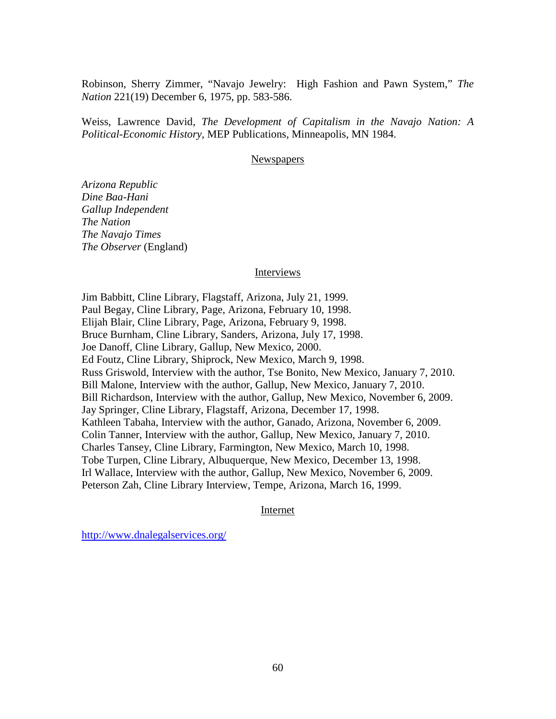Robinson, Sherry Zimmer, "Navajo Jewelry: High Fashion and Pawn System," *The Nation* 221(19) December 6, 1975, pp. 583-586.

Weiss, Lawrence David, *The Development of Capitalism in the Navajo Nation: A Political-Economic History,* MEP Publications, Minneapolis, MN 1984.

### **Newspapers**

*Arizona Republic Dine Baa-Hani Gallup Independent The Nation The Navajo Times The Observer* (England)

#### Interviews

Jim Babbitt, Cline Library, Flagstaff, Arizona, July 21, 1999. Paul Begay, Cline Library, Page, Arizona, February 10, 1998. Elijah Blair, Cline Library, Page, Arizona, February 9, 1998. Bruce Burnham, Cline Library, Sanders, Arizona, July 17, 1998. Joe Danoff, Cline Library, Gallup, New Mexico, 2000. Ed Foutz, Cline Library, Shiprock, New Mexico, March 9, 1998. Russ Griswold, Interview with the author, Tse Bonito, New Mexico, January 7, 2010. Bill Malone, Interview with the author, Gallup, New Mexico, January 7, 2010. Bill Richardson, Interview with the author, Gallup, New Mexico, November 6, 2009. Jay Springer, Cline Library, Flagstaff, Arizona, December 17, 1998. Kathleen Tabaha, Interview with the author, Ganado, Arizona, November 6, 2009. Colin Tanner, Interview with the author, Gallup, New Mexico, January 7, 2010. Charles Tansey, Cline Library, Farmington, New Mexico, March 10, 1998. Tobe Turpen, Cline Library, Albuquerque, New Mexico, December 13, 1998. Irl Wallace, Interview with the author, Gallup, New Mexico, November 6, 2009. Peterson Zah, Cline Library Interview, Tempe, Arizona, March 16, 1999.

#### Internet

<http://www.dnalegalservices.org/>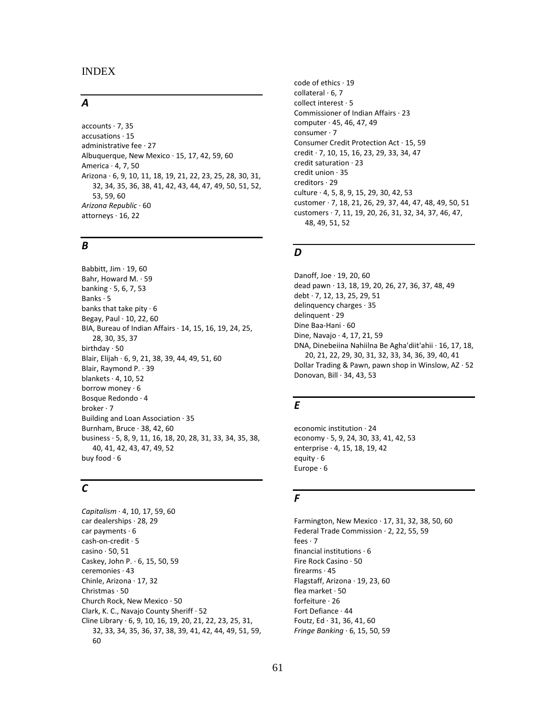## *A*

 $accounts \cdot 7, 35$ accusations · 15 administrative fee · 27 Albuquerque, New Mexico · 15, 17, 42, 59, 60 America · 4, 7, 50 Arizona · 6, 9, 10, 11, 18, 19, 21, 22, 23, 25, 28, 30, 31, 32, 34, 35, 36, 38, 41, 42, 43, 44, 47, 49, 50, 51, 52, 53, 59, 60 *Arizona Republic* · 60 attorneys · 16, 22

# *B*

Babbitt, Jim · 19, 60 Bahr, Howard M. · 59 banking · 5, 6, 7, 53 Banks · 5 banks that take pity  $\cdot$  6 Begay, Paul · 10, 22, 60 BIA, Bureau of Indian Affairs · 14, 15, 16, 19, 24, 25, 28, 30, 35, 37 birthday · 50 Blair, Elijah · 6, 9, 21, 38, 39, 44, 49, 51, 60 Blair, Raymond P. · 39 blankets · 4, 10, 52 borrow money · 6 Bosque Redondo · 4 broker · 7 Building and Loan Association · 35 Burnham, Bruce · 38, 42, 60 business · 5, 8, 9, 11, 16, 18, 20, 28, 31, 33, 34, 35, 38, 40, 41, 42, 43, 47, 49, 52 buy food · 6

# *C*

*Capitalism* · 4, 10, 17, 59, 60 car dealerships · 28, 29 car payments  $\cdot$  6 cash-on-credit · 5 casino · 50, 51 Caskey, John P. · 6, 15, 50, 59 ceremonies · 43 Chinle, Arizona · 17, 32 Christmas · 50 Church Rock, New Mexico · 50 Clark, K. C., Navajo County Sheriff · 52 Cline Library · 6, 9, 10, 16, 19, 20, 21, 22, 23, 25, 31, 32, 33, 34, 35, 36, 37, 38, 39, 41, 42, 44, 49, 51, 59, 60

code of ethics · 19 collateral · 6, 7 collect interest · 5 Commissioner of Indian Affairs · 23 computer · 45, 46, 47, 49 consumer · 7 Consumer Credit Protection Act · 15, 59 credit · 7, 10, 15, 16, 23, 29, 33, 34, 47 credit saturation · 23 credit union · 35 creditors · 29 culture · 4, 5, 8, 9, 15, 29, 30, 42, 53 customer · 7, 18, 21, 26, 29, 37, 44, 47, 48, 49, 50, 51 customers · 7, 11, 19, 20, 26, 31, 32, 34, 37, 46, 47, 48, 49, 51, 52

#### *D*

Danoff, Joe · 19, 20, 60 dead pawn · 13, 18, 19, 20, 26, 27, 36, 37, 48, 49 debt · 7, 12, 13, 25, 29, 51 delinquency charges · 35 delinquent · 29 Dine Baa-Hani · 60 Dine, Navajo · 4, 17, 21, 59 DNA, Dinebeiina Nahiilna Be Agha'diit'ahii · 16, 17, 18, 20, 21, 22, 29, 30, 31, 32, 33, 34, 36, 39, 40, 41 Dollar Trading & Pawn, pawn shop in Winslow, AZ · 52 Donovan, Bill · 34, 43, 53

#### *E*

economic institution · 24 economy · 5, 9, 24, 30, 33, 41, 42, 53 enterprise · 4, 15, 18, 19, 42 equity  $\cdot$  6 Europe · 6

#### *F*

Farmington, New Mexico · 17, 31, 32, 38, 50, 60 Federal Trade Commission · 2, 22, 55, 59 fees · 7 financial institutions · 6 Fire Rock Casino · 50 firearms · 45 Flagstaff, Arizona · 19, 23, 60 flea market · 50 forfeiture · 26 Fort Defiance · 44 Foutz, Ed · 31, 36, 41, 60 *Fringe Banking* · 6, 15, 50, 59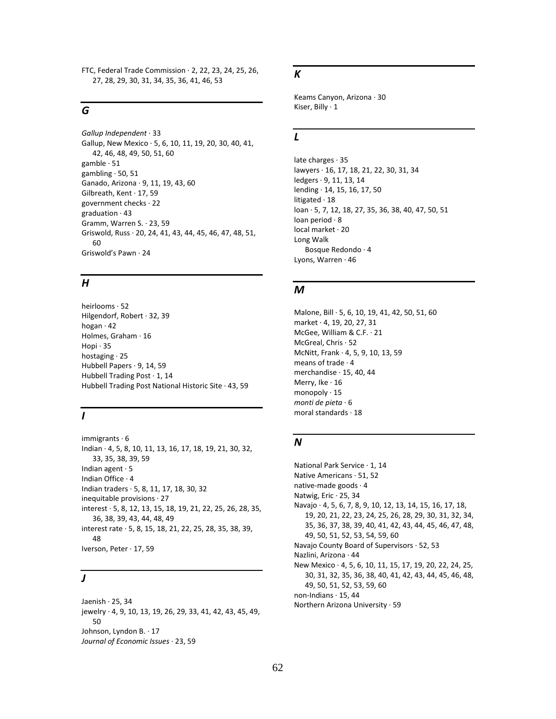FTC, Federal Trade Commission · 2, 22, 23, 24, 25, 26, 27, 28, 29, 30, 31, 34, 35, 36, 41, 46, 53

# *G*

*Gallup Independent* · 33 Gallup, New Mexico · 5, 6, 10, 11, 19, 20, 30, 40, 41, 42, 46, 48, 49, 50, 51, 60 gamble · 51 gambling · 50, 51 Ganado, Arizona · 9, 11, 19, 43, 60 Gilbreath, Kent · 17, 59 government checks · 22 graduation  $\cdot$  43 Gramm, Warren S. · 23, 59 Griswold, Russ · 20, 24, 41, 43, 44, 45, 46, 47, 48, 51,  $60$ Griswold's Pawn · 24

## *H*

heirlooms · 52 Hilgendorf, Robert · 32, 39 hogan · 42 Holmes, Graham · 16 Hopi · 35 hostaging · 25 Hubbell Papers · 9, 14, 59 Hubbell Trading Post · 1, 14 Hubbell Trading Post National Historic Site · 43, 59

#### *I*

immigrants · 6 Indian · 4, 5, 8, 10, 11, 13, 16, 17, 18, 19, 21, 30, 32, 33, 35, 38, 39, 59 Indian agent · 5 Indian Office · 4 Indian traders · 5, 8, 11, 17, 18, 30, 32 inequitable provisions · 27 interest · 5, 8, 12, 13, 15, 18, 19, 21, 22, 25, 26, 28, 35, 36, 38, 39, 43, 44, 48, 49 interest rate · 5, 8, 15, 18, 21, 22, 25, 28, 35, 38, 39, 48 Iverson, Peter · 17, 59

#### *J*

Jaenish · 25, 34 jewelry · 4, 9, 10, 13, 19, 26, 29, 33, 41, 42, 43, 45, 49, 50 Johnson, Lyndon B. · 17 *Journal of Economic Issues* · 23, 59

#### *K*

Keams Canyon, Arizona · 30 Kiser, Billy · 1

#### *L*

late charges · 35 lawyers · 16, 17, 18, 21, 22, 30, 31, 34 ledgers · 9, 11, 13, 14 lending · 14, 15, 16, 17, 50 litigated · 18 loan · 5, 7, 12, 18, 27, 35, 36, 38, 40, 47, 50, 51 loan period · 8 local market · 20 Long Walk Bosque Redondo · 4 Lyons, Warren · 46

#### *M*

Malone, Bill · 5, 6, 10, 19, 41, 42, 50, 51, 60 market · 4, 19, 20, 27, 31 McGee, William & C.F. · 21 McGreal, Chris · 52 McNitt, Frank · 4, 5, 9, 10, 13, 59 means of trade · 4 merchandise · 15, 40, 44 Merry, Ike · 16 monopoly · 15 *monti de pieta* · 6 moral standards · 18

#### *N*

National Park Service · 1, 14 Native Americans · 51, 52 native-made goods · 4 Natwig, Eric · 25, 34 Navajo · 4, 5, 6, 7, 8, 9, 10, 12, 13, 14, 15, 16, 17, 18, 19, 20, 21, 22, 23, 24, 25, 26, 28, 29, 30, 31, 32, 34, 35, 36, 37, 38, 39, 40, 41, 42, 43, 44, 45, 46, 47, 48, 49, 50, 51, 52, 53, 54, 59, 60 Navajo County Board of Supervisors · 52, 53 Nazlini, Arizona · 44 New Mexico · 4, 5, 6, 10, 11, 15, 17, 19, 20, 22, 24, 25, 30, 31, 32, 35, 36, 38, 40, 41, 42, 43, 44, 45, 46, 48, 49, 50, 51, 52, 53, 59, 60 non-Indians · 15, 44 Northern Arizona University · 59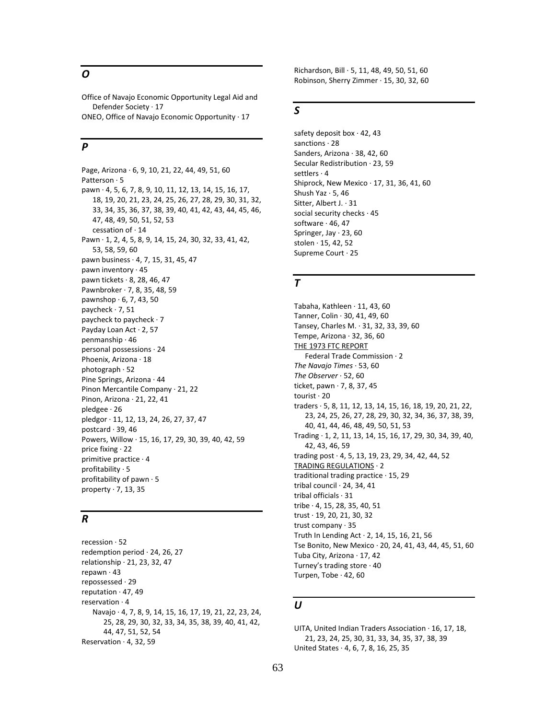# *O*

Office of Navajo Economic Opportunity Legal Aid and Defender Society · 17

ONEO, Office of Navajo Economic Opportunity · 17

# *P*

Page, Arizona · 6, 9, 10, 21, 22, 44, 49, 51, 60 Patterson · 5 pawn · 4, 5, 6, 7, 8, 9, 10, 11, 12, 13, 14, 15, 16, 17, 18, 19, 20, 21, 23, 24, 25, 26, 27, 28, 29, 30, 31, 32, 33, 34, 35, 36, 37, 38, 39, 40, 41, 42, 43, 44, 45, 46, 47, 48, 49, 50, 51, 52, 53 cessation of · 14 Pawn · 1, 2, 4, 5, 8, 9, 14, 15, 24, 30, 32, 33, 41, 42, 53, 58, 59, 60 pawn business · 4, 7, 15, 31, 45, 47 pawn inventory · 45 pawn tickets · 8, 28, 46, 47 Pawnbroker · 7, 8, 35, 48, 59 pawnshop · 6, 7, 43, 50 paycheck · 7, 51 paycheck to paycheck · 7 Payday Loan Act · 2, 57 penmanship · 46 personal possessions · 24 Phoenix, Arizona · 18 photograph · 52 Pine Springs, Arizona · 44 Pinon Mercantile Company · 21, 22 Pinon, Arizona · 21, 22, 41 pledgee · 26 pledgor · 11, 12, 13, 24, 26, 27, 37, 47 postcard  $\cdot$  39, 46 Powers, Willow · 15, 16, 17, 29, 30, 39, 40, 42, 59 price fixing · 22 primitive practice · 4 profitability · 5 profitability of pawn · 5 property  $\cdot$  7, 13, 35

# *R*

recession · 52 redemption period · 24, 26, 27 relationship · 21, 23, 32, 47 repawn · 43 repossessed · 29 reputation  $\cdot$  47, 49 reservation  $\cdot$  4 Navajo · 4, 7, 8, 9, 14, 15, 16, 17, 19, 21, 22, 23, 24, 25, 28, 29, 30, 32, 33, 34, 35, 38, 39, 40, 41, 42, 44, 47, 51, 52, 54 Reservation · 4, 32, 59

Richardson, Bill · 5, 11, 48, 49, 50, 51, 60 Robinson, Sherry Zimmer · 15, 30, 32, 60

# *S*

safety deposit box  $\cdot$  42, 43 sanctions · 28 Sanders, Arizona · 38, 42, 60 Secular Redistribution · 23, 59 settlers · 4 Shiprock, New Mexico · 17, 31, 36, 41, 60 Shush Yaz · 5, 46 Sitter, Albert J. · 31 social security checks · 45 software · 46, 47 Springer, Jay · 23, 60 stolen · 15, 42, 52 Supreme Court · 25

## *T*

Tabaha, Kathleen · 11, 43, 60 Tanner, Colin · 30, 41, 49, 60 Tansey, Charles M. · 31, 32, 33, 39, 60 Tempe, Arizona · 32, 36, 60 THE 1973 FTC REPORT Federal Trade Commission · 2 *The Navajo Times* · 53, 60 *The Observer* · 52, 60 ticket, pawn · 7, 8, 37, 45 tourist · 20 traders · 5, 8, 11, 12, 13, 14, 15, 16, 18, 19, 20, 21, 22, 23, 24, 25, 26, 27, 28, 29, 30, 32, 34, 36, 37, 38, 39, 40, 41, 44, 46, 48, 49, 50, 51, 53 Trading · 1, 2, 11, 13, 14, 15, 16, 17, 29, 30, 34, 39, 40, 42, 43, 46, 59 trading post · 4, 5, 13, 19, 23, 29, 34, 42, 44, 52 TRADING REGULATIONS · 2 traditional trading practice · 15, 29 tribal council · 24, 34, 41 tribal officials · 31 tribe · 4, 15, 28, 35, 40, 51 trust · 19, 20, 21, 30, 32 trust company · 35 Truth In Lending Act · 2, 14, 15, 16, 21, 56 Tse Bonito, New Mexico · 20, 24, 41, 43, 44, 45, 51, 60 Tuba City, Arizona · 17, 42 Turney's trading store · 40 Turpen, Tobe · 42, 60

# *U*

UITA, United Indian Traders Association · 16, 17, 18, 21, 23, 24, 25, 30, 31, 33, 34, 35, 37, 38, 39 United States · 4, 6, 7, 8, 16, 25, 35